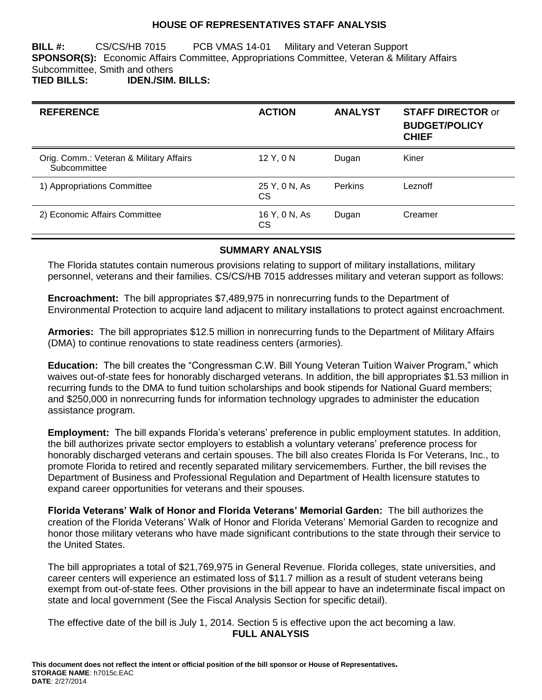### **HOUSE OF REPRESENTATIVES STAFF ANALYSIS**

**BILL #:** CS/CS/HB 7015 PCB VMAS 14-01 Military and Veteran Support **SPONSOR(S):** Economic Affairs Committee, Appropriations Committee, Veteran & Military Affairs Subcommittee, Smith and others **TIED BILLS: IDEN./SIM. BILLS:**

| <b>REFERENCE</b>                                        | <b>ACTION</b>              | <b>ANALYST</b> | <b>STAFF DIRECTOR or</b><br><b>BUDGET/POLICY</b><br><b>CHIEF</b> |
|---------------------------------------------------------|----------------------------|----------------|------------------------------------------------------------------|
| Orig. Comm.: Veteran & Military Affairs<br>Subcommittee | 12 Y, 0 N                  | Dugan          | Kiner                                                            |
| 1) Appropriations Committee                             | 25 Y, 0 N, As<br><b>CS</b> | <b>Perkins</b> | Leznoff                                                          |
| 2) Economic Affairs Committee                           | 16 Y, 0 N, As<br><b>CS</b> | Dugan          | Creamer                                                          |

#### **SUMMARY ANALYSIS**

The Florida statutes contain numerous provisions relating to support of military installations, military personnel, veterans and their families. CS/CS/HB 7015 addresses military and veteran support as follows:

**Encroachment:** The bill appropriates \$7,489,975 in nonrecurring funds to the Department of Environmental Protection to acquire land adjacent to military installations to protect against encroachment.

**Armories:** The bill appropriates \$12.5 million in nonrecurring funds to the Department of Military Affairs (DMA) to continue renovations to state readiness centers (armories).

**Education:** The bill creates the "Congressman C.W. Bill Young Veteran Tuition Waiver Program," which waives out-of-state fees for honorably discharged veterans. In addition, the bill appropriates \$1.53 million in recurring funds to the DMA to fund tuition scholarships and book stipends for National Guard members; and \$250,000 in nonrecurring funds for information technology upgrades to administer the education assistance program.

**Employment:** The bill expands Florida's veterans' preference in public employment statutes. In addition, the bill authorizes private sector employers to establish a voluntary veterans' preference process for honorably discharged veterans and certain spouses. The bill also creates Florida Is For Veterans, Inc., to promote Florida to retired and recently separated military servicemembers. Further, the bill revises the Department of Business and Professional Regulation and Department of Health licensure statutes to expand career opportunities for veterans and their spouses.

**Florida Veterans' Walk of Honor and Florida Veterans' Memorial Garden:** The bill authorizes the creation of the Florida Veterans' Walk of Honor and Florida Veterans' Memorial Garden to recognize and honor those military veterans who have made significant contributions to the state through their service to the United States.

The bill appropriates a total of \$21,769,975 in General Revenue. Florida colleges, state universities, and career centers will experience an estimated loss of \$11.7 million as a result of student veterans being exempt from out-of-state fees. Other provisions in the bill appear to have an indeterminate fiscal impact on state and local government (See the Fiscal Analysis Section for specific detail).

The effective date of the bill is July 1, 2014. Section 5 is effective upon the act becoming a law. **FULL ANALYSIS**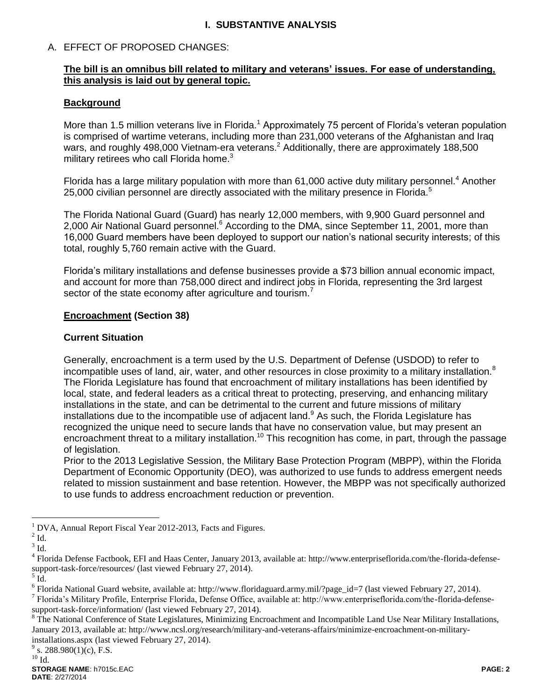## **I. SUBSTANTIVE ANALYSIS**

## A. EFFECT OF PROPOSED CHANGES:

### **The bill is an omnibus bill related to military and veterans' issues. For ease of understanding, this analysis is laid out by general topic.**

### **Background**

More than 1.5 million veterans live in Florida.<sup>1</sup> Approximately 75 percent of Florida's veteran population is comprised of wartime veterans, including more than 231,000 veterans of the Afghanistan and Iraq wars, and roughly 498,000 Vietnam-era veterans.<sup>2</sup> Additionally, there are approximately 188,500 military retirees who call Florida home. $3$ 

Florida has a large military population with more than  $61,000$  active duty military personnel.<sup>4</sup> Another 25,000 civilian personnel are directly associated with the military presence in Florida.<sup>5</sup>

The Florida National Guard (Guard) has nearly 12,000 members, with 9,900 Guard personnel and 2,000 Air National Guard personnel.<sup>6</sup> According to the DMA, since September 11, 2001, more than 16,000 Guard members have been deployed to support our nation's national security interests; of this total, roughly 5,760 remain active with the Guard.

Florida's military installations and defense businesses provide a \$73 billion annual economic impact, and account for more than 758,000 direct and indirect jobs in Florida, representing the 3rd largest sector of the state economy after agriculture and tourism.<sup>7</sup>

### **Encroachment (Section 38)**

### **Current Situation**

Generally, encroachment is a term used by the U.S. Department of Defense (USDOD) to refer to incompatible uses of land, air, water, and other resources in close proximity to a military installation.<sup>8</sup> The Florida Legislature has found that encroachment of military installations has been identified by local, state, and federal leaders as a critical threat to protecting, preserving, and enhancing military installations in the state, and can be detrimental to the current and future missions of military installations due to the incompatible use of adjacent land.<sup>9</sup> As such, the Florida Legislature has recognized the unique need to secure lands that have no conservation value, but may present an encroachment threat to a military installation.<sup>10</sup> This recognition has come, in part, through the passage of legislation.

Prior to the 2013 Legislative Session, the Military Base Protection Program (MBPP), within the Florida Department of Economic Opportunity (DEO), was authorized to use funds to address emergent needs related to mission sustainment and base retention. However, the MBPP was not specifically authorized to use funds to address encroachment reduction or prevention.

 $\overline{a}$ 

7 Florida's Military Profile, Enterprise Florida, Defense Office, available at: http://www.enterpriseflorida.com/the-florida-defensesupport-task-force/information/ (last viewed February 27, 2014).

<sup>8</sup> The National Conference of State Legislatures, Minimizing Encroachment and Incompatible Land Use Near Military Installations, January 2013, available at: http://www.ncsl.org/research/military-and-veterans-affairs/minimize-encroachment-on-militaryinstallations.aspx (last viewed February 27, 2014).

<sup>&</sup>lt;sup>1</sup> DVA, Annual Report Fiscal Year 2012-2013, Facts and Figures.

 $2$  Id.

 $3$  Id.

<sup>&</sup>lt;sup>4</sup> Florida Defense Factbook, EFI and Haas Center, January 2013, available at: http://www.enterpriseflorida.com/the-florida-defensesupport-task-force/resources/ (last viewed February 27, 2014).

 $<sup>5</sup>$  Id.</sup>

<sup>&</sup>lt;sup>6</sup> Florida National Guard website, available at: http://www.floridaguard.army.mil/?page\_id=7 (last viewed February 27, 2014).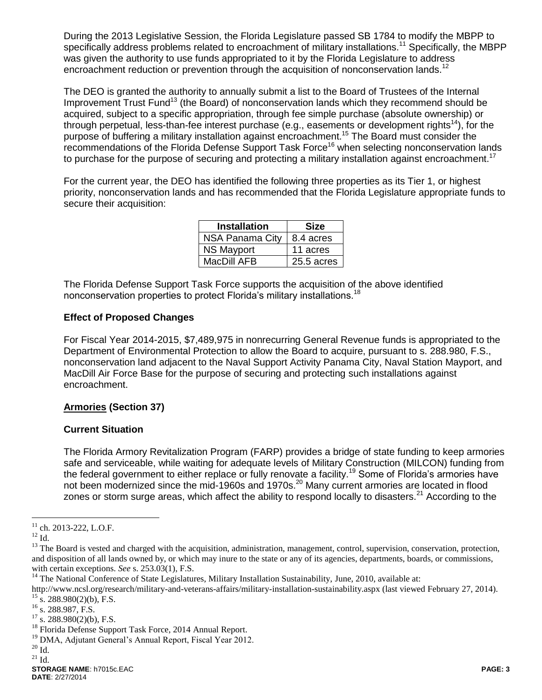During the 2013 Legislative Session, the Florida Legislature passed SB 1784 to modify the MBPP to specifically address problems related to encroachment of military installations.<sup>11</sup> Specifically, the MBPP was given the authority to use funds appropriated to it by the Florida Legislature to address encroachment reduction or prevention through the acquisition of nonconservation lands.<sup>12</sup>

The DEO is granted the authority to annually submit a list to the Board of Trustees of the Internal Improvement Trust Fund<sup>13</sup> (the Board) of nonconservation lands which they recommend should be acquired, subject to a specific appropriation, through fee simple purchase (absolute ownership) or through perpetual, less-than-fee interest purchase (e.g., easements or development rights<sup>14</sup>), for the purpose of buffering a military installation against encroachment.<sup>15</sup> The Board must consider the recommendations of the Florida Defense Support Task Force<sup>16</sup> when selecting nonconservation lands to purchase for the purpose of securing and protecting a military installation against encroachment.<sup>17</sup>

For the current year, the DEO has identified the following three properties as its Tier 1, or highest priority, nonconservation lands and has recommended that the Florida Legislature appropriate funds to secure their acquisition:

| <b>Installation</b>    | Size       |
|------------------------|------------|
| <b>NSA Panama City</b> | 8.4 acres  |
| <b>NS Mayport</b>      | 11 acres   |
| MacDill AFB            | 25.5 acres |

The Florida Defense Support Task Force supports the acquisition of the above identified nonconservation properties to protect Florida's military installations.<sup>18</sup>

#### **Effect of Proposed Changes**

For Fiscal Year 2014-2015, \$7,489,975 in nonrecurring General Revenue funds is appropriated to the Department of Environmental Protection to allow the Board to acquire, pursuant to s. 288.980, F.S., nonconservation land adjacent to the Naval Support Activity Panama City, Naval Station Mayport, and MacDill Air Force Base for the purpose of securing and protecting such installations against encroachment.

## **Armories (Section 37)**

#### **Current Situation**

The Florida Armory Revitalization Program (FARP) provides a bridge of state funding to keep armories safe and serviceable, while waiting for adequate levels of Military Construction (MILCON) funding from the federal government to either replace or fully renovate a facility.<sup>19</sup> Some of Florida's armories have not been modernized since the mid-1960s and 1970s.<sup>20</sup> Many current armories are located in flood zones or storm surge areas, which affect the ability to respond locally to disasters.<sup>21</sup> According to the

 $11$  ch. 2013-222, L.O.F.

 $12$  Id.

<sup>&</sup>lt;sup>13</sup> The Board is vested and charged with the acquisition, administration, management, control, supervision, conservation, protection, and disposition of all lands owned by, or which may inure to the state or any of its agencies, departments, boards, or commissions, with certain exceptions. *See* s. 253.03(1), F.S.

<sup>&</sup>lt;sup>14</sup> The National Conference of State Legislatures, Military Installation Sustainability, June, 2010, available at:

http://www.ncsl.org/research/military-and-veterans-affairs/military-installation-sustainability.aspx (last viewed February 27, 2014).  $^{15}$  s. 288.980(2)(b), F.S.

 $^{16}$  s. 288.987, F.S.

 $17$  s. 288.980(2)(b), F.S.

<sup>&</sup>lt;sup>18</sup> Florida Defense Support Task Force, 2014 Annual Report.

<sup>&</sup>lt;sup>19</sup> DMA, Adjutant General's Annual Report, Fiscal Year 2012.

 $\rm ^{20}$  Id.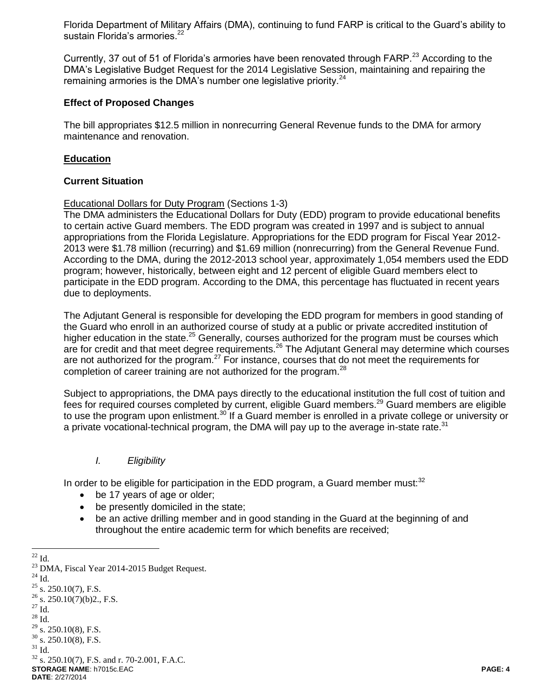Florida Department of Military Affairs (DMA), continuing to fund FARP is critical to the Guard's ability to sustain Florida's armories.<sup>22</sup>

Currently, 37 out of 51 of Florida's armories have been renovated through FARP.<sup>23</sup> According to the DMA's Legislative Budget Request for the 2014 Legislative Session, maintaining and repairing the remaining armories is the DMA's number one legislative priority. $^{24}$ 

#### **Effect of Proposed Changes**

The bill appropriates \$12.5 million in nonrecurring General Revenue funds to the DMA for armory maintenance and renovation.

#### **Education**

#### **Current Situation**

Educational Dollars for Duty Program (Sections 1-3)

The DMA administers the Educational Dollars for Duty (EDD) program to provide educational benefits to certain active Guard members. The EDD program was created in 1997 and is subject to annual appropriations from the Florida Legislature. Appropriations for the EDD program for Fiscal Year 2012- 2013 were \$1.78 million (recurring) and \$1.69 million (nonrecurring) from the General Revenue Fund. According to the DMA, during the 2012-2013 school year, approximately 1,054 members used the EDD program; however, historically, between eight and 12 percent of eligible Guard members elect to participate in the EDD program. According to the DMA, this percentage has fluctuated in recent years due to deployments.

The Adjutant General is responsible for developing the EDD program for members in good standing of the Guard who enroll in an authorized course of study at a public or private accredited institution of higher education in the state.<sup>25</sup> Generally, courses authorized for the program must be courses which are for credit and that meet degree requirements.<sup>26</sup> The Adjutant General may determine which courses are not authorized for the program.<sup>27</sup> For instance, courses that do not meet the requirements for completion of career training are not authorized for the program. $^{28}$ 

Subject to appropriations, the DMA pays directly to the educational institution the full cost of tuition and fees for required courses completed by current, eligible Guard members.<sup>29</sup> Guard members are eligible to use the program upon enlistment.<sup>30</sup> If a Guard member is enrolled in a private college or university or a private vocational-technical program, the DMA will pay up to the average in-state rate. $31$ 

### *I. Eligibility*

In order to be eligible for participation in the EDD program, a Guard member must: $32$ 

- be 17 years of age or older;
- be presently domiciled in the state;
- be an active drilling member and in good standing in the Guard at the beginning of and throughout the entire academic term for which benefits are received;

 $\overline{a}$  $^{22}$  Id.

<sup>&</sup>lt;sup>23</sup> DMA, Fiscal Year 2014-2015 Budget Request.

**STORAGE NAME**: h7015c.EAC **PAGE: 4 DATE**: 2/27/2014  $24$  Id.  $25$  s. 250.10(7), F.S.  $26$  s. 250.10(7)(b)2., F.S.  $^{27}$  Id.  $^{28}$  Id.  $^{29}$  s. 250.10(8), F.S.  $30\,$  s. 250.10(8), F.S.  $^{31}$  Id. <sup>32</sup> s. 250.10(7), F.S. and r. 70-2.001, F.A.C.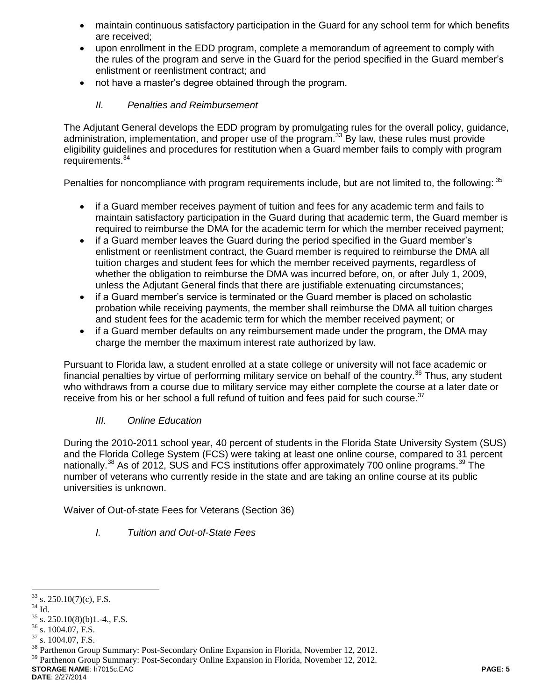- maintain continuous satisfactory participation in the Guard for any school term for which benefits are received;
- upon enrollment in the EDD program, complete a memorandum of agreement to comply with the rules of the program and serve in the Guard for the period specified in the Guard member's enlistment or reenlistment contract; and
- not have a master's degree obtained through the program.

## *II. Penalties and Reimbursement*

The Adjutant General develops the EDD program by promulgating rules for the overall policy, guidance, administration, implementation, and proper use of the program.<sup>33</sup> By law, these rules must provide eligibility guidelines and procedures for restitution when a Guard member fails to comply with program requirements.<sup>34</sup>

Penalties for noncompliance with program requirements include, but are not limited to, the following: <sup>35</sup>

- if a Guard member receives payment of tuition and fees for any academic term and fails to maintain satisfactory participation in the Guard during that academic term, the Guard member is required to reimburse the DMA for the academic term for which the member received payment;
- if a Guard member leaves the Guard during the period specified in the Guard member's enlistment or reenlistment contract, the Guard member is required to reimburse the DMA all tuition charges and student fees for which the member received payments, regardless of whether the obligation to reimburse the DMA was incurred before, on, or after July 1, 2009, unless the Adjutant General finds that there are justifiable extenuating circumstances;
- if a Guard member's service is terminated or the Guard member is placed on scholastic probation while receiving payments, the member shall reimburse the DMA all tuition charges and student fees for the academic term for which the member received payment; or
- if a Guard member defaults on any reimbursement made under the program, the DMA may charge the member the maximum interest rate authorized by law.

Pursuant to Florida law, a student enrolled at a state college or university will not face academic or financial penalties by virtue of performing military service on behalf of the country.<sup>36</sup> Thus, any student who withdraws from a course due to military service may either complete the course at a later date or receive from his or her school a full refund of tuition and fees paid for such course.<sup>37</sup>

## *III. Online Education*

During the 2010-2011 school year, 40 percent of students in the Florida State University System (SUS) and the Florida College System (FCS) were taking at least one online course, compared to 31 percent nationally.<sup>38</sup> As of 2012, SUS and FCS institutions offer approximately 700 online programs.<sup>39</sup> The number of veterans who currently reside in the state and are taking an online course at its public universities is unknown.

### Waiver of Out-of-state Fees for Veterans (Section 36)

*I. Tuition and Out-of-State Fees*

**DATE**: 2/27/2014

 $\overline{a}$  $33$  s. 250.10(7)(c), F.S.

<sup>34</sup> Id.

 $\frac{35}{35}$  s. 250.10(8)(b)1.-4., F.S.

 $36$  s. 1004.07, F.S.

 $37$  s. 1004.07, F.S.

<sup>&</sup>lt;sup>38</sup> Parthenon Group Summary: Post-Secondary Online Expansion in Florida, November 12, 2012.

**STORAGE NAME**: h7015c.EAC **PAGE: 5** <sup>39</sup> Parthenon Group Summary: Post-Secondary Online Expansion in Florida, November 12, 2012.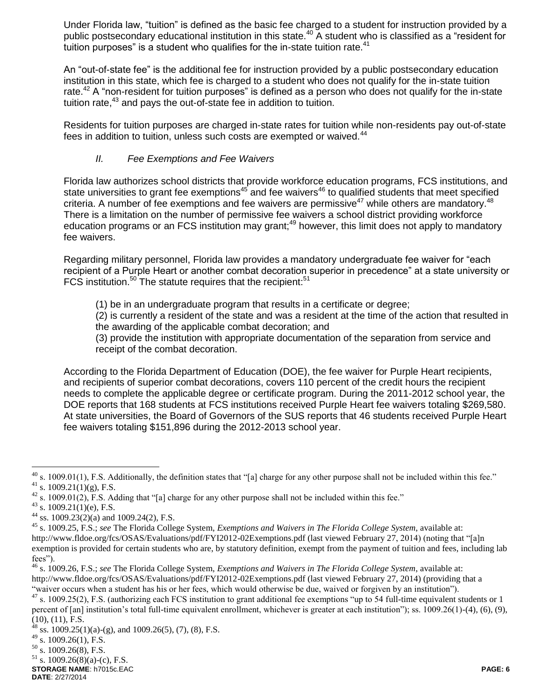Under Florida law, "tuition" is defined as the basic fee charged to a student for instruction provided by a public postsecondary educational institution in this state.<sup>40</sup> A student who is classified as a "resident for tuition purposes" is a student who qualifies for the in-state tuition rate. $41$ 

An "out-of-state fee" is the additional fee for instruction provided by a public postsecondary education institution in this state, which fee is charged to a student who does not qualify for the in-state tuition rate.<sup>42</sup> A "non-resident for tuition purposes" is defined as a person who does not qualify for the in-state tuition rate,<sup>43</sup> and pays the out-of-state fee in addition to tuition.

Residents for tuition purposes are charged in-state rates for tuition while non-residents pay out-of-state fees in addition to tuition, unless such costs are exempted or waived.<sup>44</sup>

## *II. Fee Exemptions and Fee Waivers*

Florida law authorizes school districts that provide workforce education programs, FCS institutions, and state universities to grant fee exemptions $45$  and fee waivers $46$  to qualified students that meet specified criteria. A number of fee exemptions and fee waivers are permissive<sup>47</sup> while others are mandatory.<sup>48</sup> There is a limitation on the number of permissive fee waivers a school district providing workforce education programs or an FCS institution may grant;<sup>49</sup> however, this limit does not apply to mandatory fee waivers.

Regarding military personnel, Florida law provides a mandatory undergraduate fee waiver for "each recipient of a Purple Heart or another combat decoration superior in precedence" at a state university or FCS institution.<sup>50</sup> The statute requires that the recipient:<sup>51</sup>

(1) be in an undergraduate program that results in a certificate or degree;

(2) is currently a resident of the state and was a resident at the time of the action that resulted in the awarding of the applicable combat decoration; and

(3) provide the institution with appropriate documentation of the separation from service and receipt of the combat decoration.

According to the Florida Department of Education (DOE), the fee waiver for Purple Heart recipients, and recipients of superior combat decorations, covers 110 percent of the credit hours the recipient needs to complete the applicable degree or certificate program. During the 2011-2012 school year, the DOE reports that 168 students at FCS institutions received Purple Heart fee waivers totaling \$269,580. At state universities, the Board of Governors of the SUS reports that 46 students received Purple Heart fee waivers totaling \$151,896 during the 2012-2013 school year.

 $\overline{a}$  $40$  s. 1009.01(1), F.S. Additionally, the definition states that "[a] charge for any other purpose shall not be included within this fee."  $41$  s. 1009.21(1)(g), F.S.

<sup>&</sup>lt;sup>42</sup> s. 1009.01(2), F.S. Adding that "[a] charge for any other purpose shall not be included within this fee."

 $43$  s. 1009.21(1)(e), F.S.

<sup>&</sup>lt;sup>44</sup> ss. 1009.23(2)(a) and 1009.24(2), F.S.

<sup>45</sup> s. 1009.25, F.S.; *see* The Florida College System, *Exemptions and Waivers in The Florida College System*, available at: http://www.fldoe.org/fcs/OSAS/Evaluations/pdf/FYI2012-02Exemptions.pdf (last viewed February 27, 2014) (noting that "[a]n exemption is provided for certain students who are, by statutory definition, exempt from the payment of tuition and fees, including lab fees").

<sup>46</sup> s. 1009.26, F.S.; *see* The Florida College System, *Exemptions and Waivers in The Florida College System*, available at: http://www.fldoe.org/fcs/OSAS/Evaluations/pdf/FYI2012-02Exemptions.pdf (last viewed February 27, 2014) (providing that a "waiver occurs when a student has his or her fees, which would otherwise be due, waived or forgiven by an institution").

 $47$  s. 1009.25(2), F.S. (authorizing each FCS institution to grant additional fee exemptions "up to 54 full-time equivalent students or 1 percent of [an] institution's total full-time equivalent enrollment, whichever is greater at each institution"); ss. 1009.26(1)-(4), (6), (9), (10), (11), F.S.

 $^{48}$  ss. 1009.25(1)(a)-(g), and 1009.26(5), (7), (8), F.S.

 $49$  s. 1009.26(1), F.S.

 $50$  s. 1009.26(8), F.S.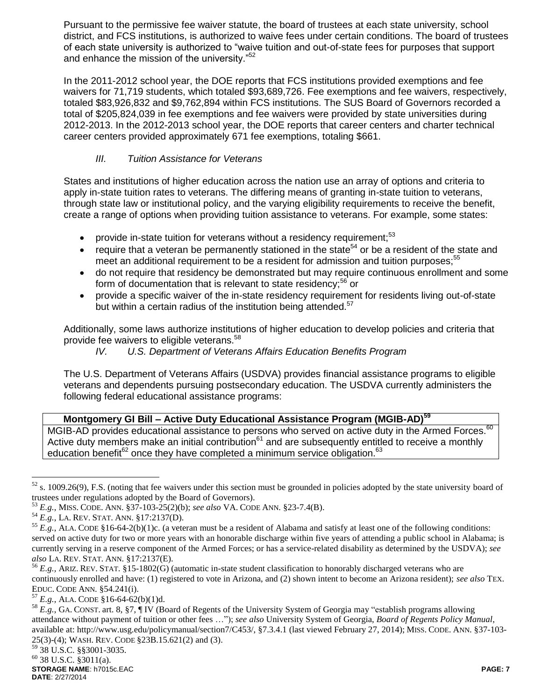Pursuant to the permissive fee waiver statute, the board of trustees at each state university, school district, and FCS institutions, is authorized to waive fees under certain conditions. The board of trustees of each state university is authorized to "waive tuition and out-of-state fees for purposes that support and enhance the mission of the university."<sup>52</sup>

In the 2011-2012 school year, the DOE reports that FCS institutions provided exemptions and fee waivers for 71,719 students, which totaled \$93,689,726. Fee exemptions and fee waivers, respectively, totaled \$83,926,832 and \$9,762,894 within FCS institutions. The SUS Board of Governors recorded a total of \$205,824,039 in fee exemptions and fee waivers were provided by state universities during 2012-2013. In the 2012-2013 school year, the DOE reports that career centers and charter technical career centers provided approximately 671 fee exemptions, totaling \$661.

## *III. Tuition Assistance for Veterans*

States and institutions of higher education across the nation use an array of options and criteria to apply in-state tuition rates to veterans. The differing means of granting in-state tuition to veterans, through state law or institutional policy, and the varying eligibility requirements to receive the benefit, create a range of options when providing tuition assistance to veterans. For example, some states:

- provide in-state tuition for veterans without a residency requirement;<sup>53</sup>
- require that a veteran be permanently stationed in the state<sup>54</sup> or be a resident of the state and meet an additional requirement to be a resident for admission and tuition purposes;<sup>55</sup>
- do not require that residency be demonstrated but may require continuous enrollment and some form of documentation that is relevant to state residency;<sup>56</sup> or
- provide a specific waiver of the in-state residency requirement for residents living out-of-state but within a certain radius of the institution being attended.<sup>57</sup>

Additionally, some laws authorize institutions of higher education to develop policies and criteria that provide fee waivers to eligible veterans.<sup>58</sup>

*IV. U.S. Department of Veterans Affairs Education Benefits Program*

The U.S. Department of Veterans Affairs (USDVA) provides financial assistance programs to eligible veterans and dependents pursuing postsecondary education. The USDVA currently administers the following federal educational assistance programs:

## **Montgomery GI Bill – Active Duty Educational Assistance Program (MGIB-AD)<sup>59</sup>**

MGIB-AD provides educational assistance to persons who served on active duty in the Armed Forces.<sup>60</sup> Active duty members make an initial contribution<sup>61</sup> and are subsequently entitled to receive a monthly education benefit<sup>62</sup> once they have completed a minimum service obligation.<sup>63</sup>

 $52$  s. 1009.26(9), F.S. (noting that fee waivers under this section must be grounded in policies adopted by the state university board of trustees under regulations adopted by the Board of Governors).

<sup>53</sup> *E.g.*, MISS. CODE. ANN. §37-103-25(2)(b); *see also* VA. CODE ANN. §23-7.4(B).

<sup>54</sup> *E.g.*, LA. REV. STAT. ANN. §17:2137(D).

<sup>&</sup>lt;sup>55</sup>  $E, g, ALA$ . CODE §16-64-2(b)(1)c. (a veteran must be a resident of Alabama and satisfy at least one of the following conditions: served on active duty for two or more years with an honorable discharge within five years of attending a public school in Alabama; is currently serving in a reserve component of the Armed Forces; or has a service-related disability as determined by the USDVA); *see also* LA. REV. STAT. ANN. §17:2137(E).

<sup>56</sup> *E.g.,* ARIZ. REV. STAT. §15-1802(G) (automatic in-state student classification to honorably discharged veterans who are continuously enrolled and have: (1) registered to vote in Arizona, and (2) shown intent to become an Arizona resident); *see also* TEX. EDUC. CODE ANN. §54.241(i).

 $^{57}$  *E.g.*, ALA. CODE §16-64-62(b)(1)d.

<sup>&</sup>lt;sup>58</sup> *E.g.*, GA. CONST. art. 8, §7, ¶ IV (Board of Regents of the University System of Georgia may "establish programs allowing attendance without payment of tuition or other fees …"); *see also* University System of Georgia, *Board of Regents Policy Manual*, available at: http://www.usg.edu/policymanual/section7/C453/, §7.3.4.1 (last viewed February 27, 2014); MISS. CODE. ANN. §37-103- 25(3)-(4); WASH. REV. CODE §23B.15.621(2) and (3).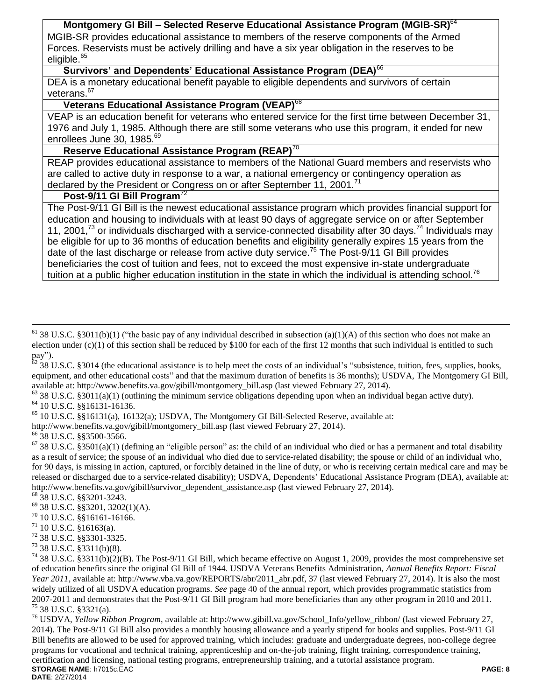### **Montgomery GI Bill – Selected Reserve Educational Assistance Program (MGIB-SR)**<sup>64</sup>

MGIB-SR provides educational assistance to members of the reserve components of the Armed Forces. Reservists must be actively drilling and have a six year obligation in the reserves to be eligible.<sup>65</sup>

## **Survivors' and Dependents' Educational Assistance Program (DEA)**<sup>66</sup>

DEA is a monetary educational benefit payable to eligible dependents and survivors of certain veterans.<sup>67</sup>

## **Veterans Educational Assistance Program (VEAP)**<sup>68</sup>

VEAP is an education benefit for veterans who entered service for the first time between December 31, 1976 and July 1, 1985. Although there are still some veterans who use this program, it ended for new enrollees June 30, 1985.<sup>69</sup>

# **Reserve Educational Assistance Program (REAP)**<sup>70</sup>

REAP provides educational assistance to members of the National Guard members and reservists who are called to active duty in response to a war, a national emergency or contingency operation as declared by the President or Congress on or after September 11, 2001.<sup>71</sup>

# **Post-9/11 GI Bill Program**<sup>72</sup>

The Post-9/11 GI Bill is the newest educational assistance program which provides financial support for education and housing to individuals with at least 90 days of aggregate service on or after September 11, 2001,<sup>73</sup> or individuals discharged with a service-connected disability after 30 days.<sup>74</sup> Individuals may be eligible for up to 36 months of education benefits and eligibility generally expires 15 years from the date of the last discharge or release from active duty service.<sup>75</sup> The Post-9/11 GI Bill provides beneficiaries the cost of tuition and fees, not to exceed the most expensive in-state undergraduate tuition at a public higher education institution in the state in which the individual is attending school.<sup>76</sup>

 $62$  38 U.S.C. §3014 (the educational assistance is to help meet the costs of an individual's "subsistence, tuition, fees, supplies, books, equipment, and other educational costs" and that the maximum duration of benefits is 36 months); USDVA, The Montgomery GI Bill, available at: http://www.benefits.va.gov/gibill/montgomery\_bill.asp (last viewed February 27, 2014).

 $63$  38 U.S.C. §3011(a)(1) (outlining the minimum service obligations depending upon when an individual began active duty).

 $^{64}$  10 U.S.C. §§16131-16136.<br> $^{65}$  10 U.S.C. §§16131(a) 161

 $\overline{a}$ 

<sup>65</sup> 10 U.S.C. §§16131(a), 16132(a); USDVA, The Montgomery GI Bill-Selected Reserve, available at:

http://www.benefits.va.gov/gibill/montgomery\_bill.asp (last viewed February 27, 2014).

<sup>66</sup> 38 U.S.C. §§3500-3566.

 $67$  38 U.S.C. §3501(a)(1) (defining an "eligible person" as: the child of an individual who died or has a permanent and total disability as a result of service; the spouse of an individual who died due to service-related disability; the spouse or child of an individual who, for 90 days, is missing in action, captured, or forcibly detained in the line of duty, or who is receiving certain medical care and may be released or discharged due to a service-related disability); USDVA, Dependents' Educational Assistance Program (DEA), available at: http://www.benefits.va.gov/gibill/survivor\_dependent\_assistance.asp (last viewed February 27, 2014).

- <sup>68</sup> 38 U.S.C. §§3201-3243.
- $^{69}$  38 U.S.C. §§3201, 3202(1)(A).<br><sup>70</sup> 10 U.S.C. §§16161, 16166

- 10 U.S.C. §16163(a).
- $^{72}$  38 U.S.C. §§3301-3325.<br> $^{73}$  38 U.S.C. §3311(b)(8)

 $74$  38 U.S.C. §3311(b)(2)(B). The Post-9/11 GI Bill, which became effective on August 1, 2009, provides the most comprehensive set of education benefits since the original GI Bill of 1944. USDVA Veterans Benefits Administration, *Annual Benefits Report: Fiscal Year 2011*, available at: http://www.vba.va.gov/REPORTS/abr/2011\_abr.pdf, 37 (last viewed February 27, 2014). It is also the most widely utilized of all USDVA education programs. *See* page 40 of the annual report, which provides programmatic statistics from 2007-2011 and demonstrates that the Post-9/11 GI Bill program had more beneficiaries than any other program in 2010 and 2011. <sup>75</sup> 38 U.S.C. §3321(a).

**STORAGE NAME**: h7015c.EAC **PAGE: 8 DATE**: 2/27/2014 <sup>76</sup> USDVA, *Yellow Ribbon Program*, available at: http://www.gibill.va.gov/School\_Info/yellow\_ribbon/ (last viewed February 27, 2014). The Post-9/11 GI Bill also provides a monthly housing allowance and a yearly stipend for books and supplies. Post-9/11 GI Bill benefits are allowed to be used for approved training, which includes: graduate and undergraduate degrees, non-college degree programs for vocational and technical training, apprenticeship and on-the-job training, flight training, correspondence training, certification and licensing, national testing programs, entrepreneurship training, and a tutorial assistance program.

 $61$  38 U.S.C. §3011(b)(1) ("the basic pay of any individual described in subsection (a)(1)(A) of this section who does not make an election under  $(c)(1)$  of this section shall be reduced by \$100 for each of the first 12 months that such individual is entitled to such pay").

 $\frac{70}{71}$  10 U.S.C. §§16161-16166.<br> $\frac{71}{71}$  10 U.S.C. 816163(a)

<sup>73</sup> 38 U.S.C. §3311(b)(8).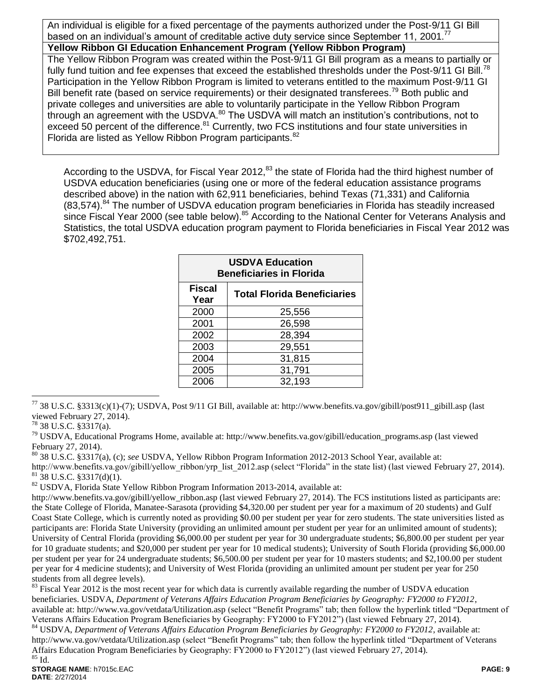An individual is eligible for a fixed percentage of the payments authorized under the Post-9/11 GI Bill based on an individual's amount of creditable active duty service since September 11, 2001.<sup>77</sup>

### **Yellow Ribbon GI Education Enhancement Program (Yellow Ribbon Program)**

The Yellow Ribbon Program was created within the Post-9/11 GI Bill program as a means to partially or fully fund tuition and fee expenses that exceed the established thresholds under the Post-9/11 GI Bill.<sup>78</sup> Participation in the Yellow Ribbon Program is limited to veterans entitled to the maximum Post-9/11 GI Bill benefit rate (based on service requirements) or their designated transferees.<sup>79</sup> Both public and private colleges and universities are able to voluntarily participate in the Yellow Ribbon Program through an agreement with the USDVA.<sup>80</sup> The USDVA will match an institution's contributions, not to exceed 50 percent of the difference.<sup>81</sup> Currently, two FCS institutions and four state universities in Florida are listed as Yellow Ribbon Program participants.<sup>82</sup>

According to the USDVA, for Fiscal Year 2012,<sup>83</sup> the state of Florida had the third highest number of USDVA education beneficiaries (using one or more of the federal education assistance programs described above) in the nation with 62,911 beneficiaries, behind Texas (71,331) and California  $(83,574)$ .<sup>84</sup> The number of USDVA education program beneficiaries in Florida has steadily increased since Fiscal Year 2000 (see table below).<sup>85</sup> According to the National Center for Veterans Analysis and Statistics, the total USDVA education program payment to Florida beneficiaries in Fiscal Year 2012 was \$702,492,751.

| <b>USDVA Education</b><br><b>Beneficiaries in Florida</b>   |        |  |
|-------------------------------------------------------------|--------|--|
| <b>Fiscal</b><br><b>Total Florida Beneficiaries</b><br>Year |        |  |
| 2000                                                        | 25,556 |  |
| 2001                                                        | 26,598 |  |
| 2002                                                        | 28,394 |  |
| 2003                                                        | 29,551 |  |
| 2004                                                        | 31,815 |  |
| 2005                                                        | 31,791 |  |
| 2006                                                        | 32,193 |  |

 $^{77}$  38 U.S.C. §3313(c)(1)-(7); USDVA, Post 9/11 GI Bill, available at: http://www.benefits.va.gov/gibill/post911\_gibill.asp (last viewed February 27, 2014).

 $^{78}$  38 U.S.C. §3317(a).

 $\overline{a}$ 

<sup>79</sup> USDVA, Educational Programs Home, available at: http://www.benefits.va.gov/gibill/education\_programs.asp (last viewed February 27, 2014).

<sup>80</sup> 38 U.S.C. §3317(a), (c); *see* USDVA, Yellow Ribbon Program Information 2012-2013 School Year, available at:

http://www.benefits.va.gov/gibill/yellow ribbon/yrp\_list\_2012.asp (select "Florida" in the state list) (last viewed February 27, 2014).  $81\overline{38}$  U.S.C. §3317(d)(1).

<sup>82</sup> USDVA*,* Florida State Yellow Ribbon Program Information 2013-2014, available at:

http://www.benefits.va.gov/gibill/yellow\_ribbon.asp (last viewed February 27, 2014). The FCS institutions listed as participants are: the State College of Florida, Manatee-Sarasota (providing \$4,320.00 per student per year for a maximum of 20 students) and Gulf Coast State College, which is currently noted as providing \$0.00 per student per year for zero students. The state universities listed as participants are: Florida State University (providing an unlimited amount per student per year for an unlimited amount of students); University of Central Florida (providing \$6,000.00 per student per year for 30 undergraduate students; \$6,800.00 per student per year for 10 graduate students; and \$20,000 per student per year for 10 medical students); University of South Florida (providing \$6,000.00 per student per year for 24 undergraduate students; \$6,500.00 per student per year for 10 masters students; and \$2,100.00 per student per year for 4 medicine students); and University of West Florida (providing an unlimited amount per student per year for 250 students from all degree levels).

 $83$  Fiscal Year 2012 is the most recent year for which data is currently available regarding the number of USDVA education beneficiaries. USDVA, *Department of Veterans Affairs Education Program Beneficiaries by Geography: FY2000 to FY2012*, available at:<http://www.va.gov/vetdata/Utilization.asp> (select "Benefit Programs" tab; then follow the hyperlink titled "Department of Veterans Affairs Education Program Beneficiaries by Geography: FY2000 to FY2012") (last viewed February 27, 2014).

<sup>84</sup> USDVA, *Department of Veterans Affairs Education Program Beneficiaries by Geography: FY2000 to FY2012*, available at: <http://www.va.gov/vetdata/Utilization.asp> (select "Benefit Programs" tab; then follow the hyperlink titled "Department of Veterans Affairs Education Program Beneficiaries by Geography: FY2000 to FY2012") (last viewed February 27, 2014). <sup>85</sup> Id.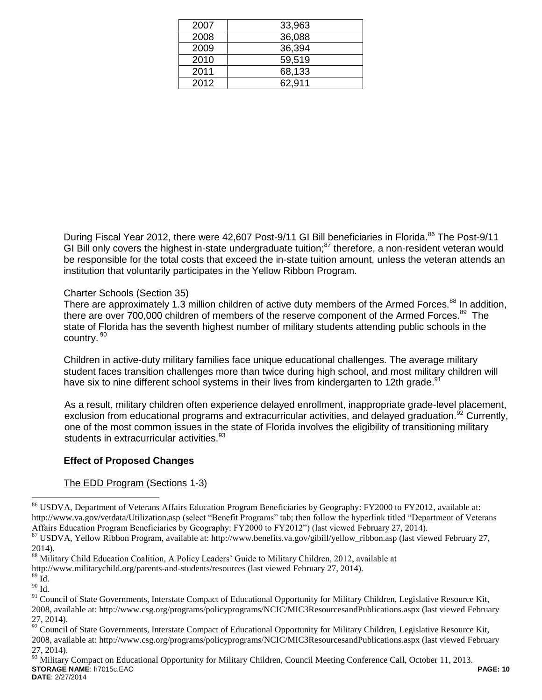| 2007 | 33,963 |
|------|--------|
| 2008 | 36,088 |
| 2009 | 36,394 |
| 2010 | 59,519 |
| 2011 | 68,133 |
| 2012 | 62.911 |
|      |        |

During Fiscal Year 2012, there were 42,607 Post-9/11 GI Bill beneficiaries in Florida.<sup>86</sup> The Post-9/11 GI Bill only covers the highest in-state undergraduate tuition;<sup>87</sup> therefore, a non-resident veteran would be responsible for the total costs that exceed the in-state tuition amount, unless the veteran attends an institution that voluntarily participates in the Yellow Ribbon Program.

# Charter Schools (Section 35)

There are approximately 1.3 million children of active duty members of the Armed Forces.<sup>88</sup> In addition, there are over 700,000 children of members of the reserve component of the Armed Forces.<sup>89</sup> The state of Florida has the seventh highest number of military students attending public schools in the country. <sup>90</sup>

Children in active-duty military families face unique educational challenges. The average military student faces transition challenges more than twice during high school, and most military children will have six to nine different school systems in their lives from kindergarten to 12th grade.<sup>91</sup>

As a result, military children often experience delayed enrollment, inappropriate grade-level placement, exclusion from educational programs and extracurricular activities, and delayed graduation.<sup>92</sup> Currently, one of the most common issues in the state of Florida involves the eligibility of transitioning military students in extracurricular activities.<sup>93</sup>

### **Effect of Proposed Changes**

## The EDD Program (Sections 1-3)

http://www.militarychild.org/parents-and-students/resources (last viewed February 27, 2014).

 $89 \text{ Id.}$ 

<sup>&</sup>lt;sup>86</sup> USDVA, Department of Veterans Affairs Education Program Beneficiaries by Geography: FY2000 to FY2012, available at: <http://www.va.gov/vetdata/Utilization.asp> (select "Benefit Programs" tab; then follow the hyperlink titled "Department of Veterans Affairs Education Program Beneficiaries by Geography: FY2000 to FY2012") (last viewed February 27, 2014).

<sup>87</sup> USDVA, Yellow Ribbon Program, available at: http://www.benefits.va.gov/gibill/yellow\_ribbon.asp (last viewed February 27, 2014).

<sup>88</sup> Military Child Education Coalition, A Policy Leaders' Guide to Military Children, 2012, available at

 $^{90}$  Id.

<sup>&</sup>lt;sup>91</sup> Council of State Governments, Interstate Compact of Educational Opportunity for Military Children, Legislative Resource Kit, 2008, available at: http://www.csg.org/programs/policyprograms/NCIC/MIC3ResourcesandPublications.aspx (last viewed February 27, 2014).

<sup>92</sup> Council of State Governments, Interstate Compact of Educational Opportunity for Military Children, Legislative Resource Kit, 2008, available at: http://www.csg.org/programs/policyprograms/NCIC/MIC3ResourcesandPublications.aspx (last viewed February 27, 2014).

**STORAGE NAME**: h7015c.EAC **PAGE: 10 DATE**: 2/27/2014 <sup>93</sup> Military Compact on Educational Opportunity for Military Children, Council Meeting Conference Call, October 11, 2013.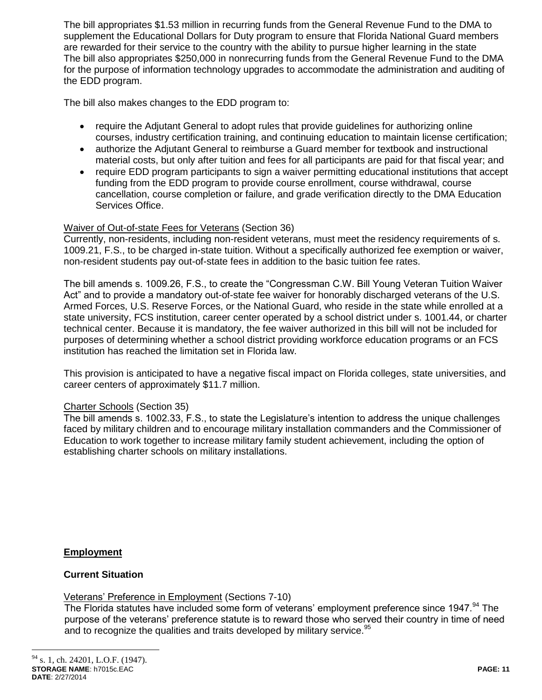The bill appropriates \$1.53 million in recurring funds from the General Revenue Fund to the DMA to supplement the Educational Dollars for Duty program to ensure that Florida National Guard members are rewarded for their service to the country with the ability to pursue higher learning in the state The bill also appropriates \$250,000 in nonrecurring funds from the General Revenue Fund to the DMA for the purpose of information technology upgrades to accommodate the administration and auditing of the EDD program.

The bill also makes changes to the EDD program to:

- require the Adjutant General to adopt rules that provide guidelines for authorizing online courses, industry certification training, and continuing education to maintain license certification;
- authorize the Adjutant General to reimburse a Guard member for textbook and instructional material costs, but only after tuition and fees for all participants are paid for that fiscal year; and
- require EDD program participants to sign a waiver permitting educational institutions that accept funding from the EDD program to provide course enrollment, course withdrawal, course cancellation, course completion or failure, and grade verification directly to the DMA Education Services Office.

### Waiver of Out-of-state Fees for Veterans (Section 36)

Currently, non-residents, including non-resident veterans, must meet the residency requirements of s. 1009.21, F.S., to be charged in-state tuition. Without a specifically authorized fee exemption or waiver, non-resident students pay out-of-state fees in addition to the basic tuition fee rates.

The bill amends s. 1009.26, F.S., to create the "Congressman C.W. Bill Young Veteran Tuition Waiver Act" and to provide a mandatory out-of-state fee waiver for honorably discharged veterans of the U.S. Armed Forces, U.S. Reserve Forces, or the National Guard, who reside in the state while enrolled at a state university, FCS institution, career center operated by a school district under s. 1001.44, or charter technical center. Because it is mandatory, the fee waiver authorized in this bill will not be included for purposes of determining whether a school district providing workforce education programs or an FCS institution has reached the limitation set in Florida law.

This provision is anticipated to have a negative fiscal impact on Florida colleges, state universities, and career centers of approximately \$11.7 million.

### Charter Schools (Section 35)

The bill amends s. 1002.33, F.S., to state the Legislature's intention to address the unique challenges faced by military children and to encourage military installation commanders and the Commissioner of Education to work together to increase military family student achievement, including the option of establishing charter schools on military installations.

**Employment**

### **Current Situation**

Veterans' Preference in Employment (Sections 7-10)

The Florida statutes have included some form of veterans' employment preference since 1947.<sup>94</sup> The purpose of the veterans' preference statute is to reward those who served their country in time of need and to recognize the qualities and traits developed by military service. $95$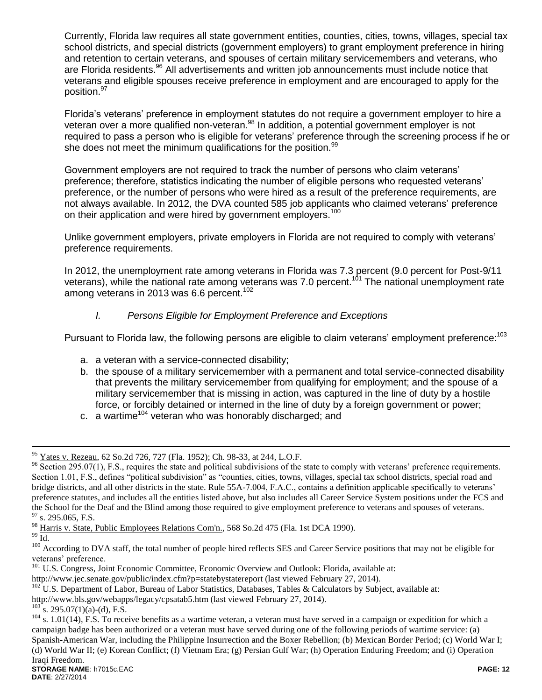Currently, Florida law requires all state government entities, counties, cities, towns, villages, special tax school districts, and special districts (government employers) to grant employment preference in hiring and retention to certain veterans, and spouses of certain military servicemembers and veterans, who are Florida residents.<sup>96</sup> All advertisements and written job announcements must include notice that veterans and eligible spouses receive preference in employment and are encouraged to apply for the position.<sup>97</sup>

Florida's veterans' preference in employment statutes do not require a government employer to hire a veteran over a more qualified non-veteran.<sup>98</sup> In addition, a potential government employer is not required to pass a person who is eligible for veterans' preference through the screening process if he or she does not meet the minimum qualifications for the position.<sup>99</sup>

Government employers are not required to track the number of persons who claim veterans' preference; therefore, statistics indicating the number of eligible persons who requested veterans' preference, or the number of persons who were hired as a result of the preference requirements, are not always available. In 2012, the DVA counted 585 job applicants who claimed veterans' preference on their application and were hired by government employers.<sup>100</sup>

Unlike government employers, private employers in Florida are not required to comply with veterans' preference requirements.

In 2012, the unemployment rate among veterans in Florida was 7.3 percent (9.0 percent for Post-9/11 veterans), while the national rate among veterans was 7.0 percent.<sup>101</sup> The national unemployment rate among veterans in 2013 was 6.6 percent.<sup>102</sup>

## *I. Persons Eligible for Employment Preference and Exceptions*

Pursuant to Florida law, the following persons are eligible to claim veterans' employment preference:<sup>103</sup>

- a. a veteran with a service-connected disability;
- b. the spouse of a military servicemember with a permanent and total service-connected disability that prevents the military servicemember from qualifying for employment; and the spouse of a military servicemember that is missing in action, was captured in the line of duty by a hostile force, or forcibly detained or interned in the line of duty by a foreign government or power;
- c. a wartime<sup>104</sup> veteran who was honorably discharged; and

 $^{99}$  Id.

<sup>95</sup> Yates v. Rezeau, 62 So.2d 726, 727 (Fla. 1952); Ch. 98-33, at 244, L.O.F.

 $96$  Section 295.07(1), F.S., requires the state and political subdivisions of the state to comply with veterans' preference requirements. Section 1.01, F.S., defines "political subdivision" as "counties, cities, towns, villages, special tax school districts, special road and bridge districts, and all other districts in the state. Rule 55A-7.004, F.A.C., contains a definition applicable specifically to veterans' preference statutes, and includes all the entities listed above, but also includes all Career Service System positions under the FCS and the School for the Deaf and the Blind among those required to give employment preference to veterans and spouses of veterans.  $97$  s. 295.065, F.S.

<sup>98</sup> Harris v. State, Public Employees Relations Com'n., 568 So.2d 475 (Fla. 1st DCA 1990).

<sup>&</sup>lt;sup>100</sup> According to DVA staff, the total number of people hired reflects SES and Career Service positions that may not be eligible for veterans' preference.

<sup>&</sup>lt;sup>101</sup> U.S. Congress, Joint Economic Committee, Economic Overview and Outlook: Florida, available at:

http://www.jec.senate.gov/public/index.cfm?p=statebystatereport (last viewed February 27, 2014).

 $102$  U.S. Department of Labor, Bureau of Labor Statistics, Databases, Tables & Calculators by Subject, available at:

http://www.bls.gov/webapps/legacy/cpsatab5.htm (last viewed February 27, 2014).

 $^{103}$ s. 295.07(1)(a)-(d), F.S.

**STORAGE NAME**: h7015c.EAC **PAGE: 12**  $104$  s. 1.01(14), F.S. To receive benefits as a wartime veteran, a veteran must have served in a campaign or expedition for which a campaign badge has been authorized or a veteran must have served during one of the following periods of wartime service: (a) Spanish-American War, including the Philippine Insurrection and the Boxer Rebellion; (b) Mexican Border Period; (c) World War I; (d) World War II; (e) Korean Conflict; (f) Vietnam Era; (g) Persian Gulf War; (h) Operation Enduring Freedom; and (i) Operation Iraqi Freedom.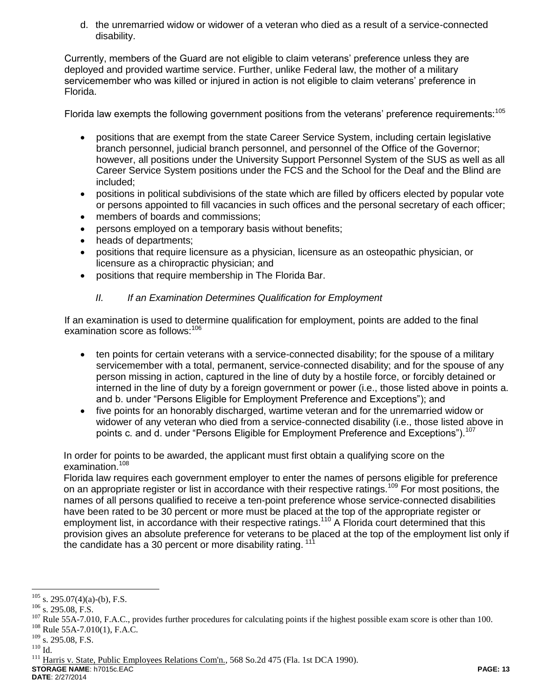d. the unremarried widow or widower of a veteran who died as a result of a service-connected disability.

Currently, members of the Guard are not eligible to claim veterans' preference unless they are deployed and provided wartime service. Further, unlike Federal law, the mother of a military servicemember who was killed or injured in action is not eligible to claim veterans' preference in Florida.

Florida law exempts the following government positions from the veterans' preference requirements:<sup>105</sup>

- positions that are exempt from the state Career Service System, including certain legislative branch personnel, judicial branch personnel, and personnel of the Office of the Governor; however, all positions under the University Support Personnel System of the SUS as well as all Career Service System positions under the FCS and the School for the Deaf and the Blind are included;
- positions in political subdivisions of the state which are filled by officers elected by popular vote or persons appointed to fill vacancies in such offices and the personal secretary of each officer;
- members of boards and commissions;
- persons employed on a temporary basis without benefits;
- heads of departments;
- positions that require licensure as a physician, licensure as an osteopathic physician, or licensure as a chiropractic physician; and
- positions that require membership in The Florida Bar.

## *II. If an Examination Determines Qualification for Employment*

If an examination is used to determine qualification for employment, points are added to the final examination score as follows:<sup>106</sup>

- ten points for certain veterans with a service-connected disability; for the spouse of a military servicemember with a total, permanent, service-connected disability; and for the spouse of any person missing in action, captured in the line of duty by a hostile force, or forcibly detained or interned in the line of duty by a foreign government or power (i.e., those listed above in points a. and b. under "Persons Eligible for Employment Preference and Exceptions"); and
- five points for an honorably discharged, wartime veteran and for the unremarried widow or widower of any veteran who died from a service-connected disability (i.e., those listed above in points c. and d. under "Persons Eligible for Employment Preference and Exceptions").<sup>107</sup>

In order for points to be awarded, the applicant must first obtain a qualifying score on the examination.<sup>108</sup>

Florida law requires each government employer to enter the names of persons eligible for preference on an appropriate register or list in accordance with their respective ratings.<sup>109</sup> For most positions, the names of all persons qualified to receive a ten-point preference whose service-connected disabilities have been rated to be 30 percent or more must be placed at the top of the appropriate register or employment list, in accordance with their respective ratings.<sup>110</sup> A Florida court determined that this provision gives an absolute preference for veterans to be placed at the top of the employment list only if the candidate has a 30 percent or more disability rating.<sup>111</sup>

**DATE**: 2/27/2014

 $\overline{a}$  $^{105}$  s. 295.07(4)(a)-(b), F.S.

<sup>106</sup> s. 295.08, F.S.

<sup>&</sup>lt;sup>107</sup> Rule 55A-7.010, F.A.C., provides further procedures for calculating points if the highest possible exam score is other than 100.

<sup>108</sup> Rule 55A-7.010(1), F.A.C.

<sup>&</sup>lt;sup>109</sup> s. 295.08, F.S.

 $^{110}$  Id.

**STORAGE NAME**: h7015c.EAC **PAGE: 13** <sup>111</sup> Harris v. State, Public Employees Relations Com'n., 568 So.2d 475 (Fla. 1st DCA 1990).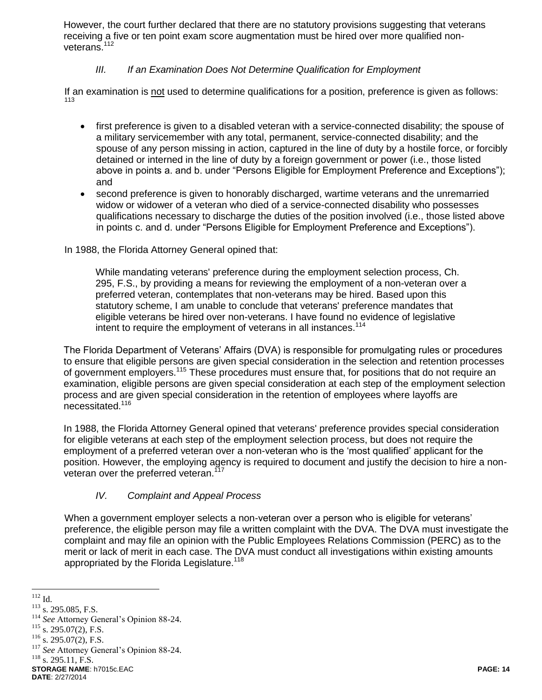However, the court further declared that there are no statutory provisions suggesting that veterans receiving a five or ten point exam score augmentation must be hired over more qualified nonveterans.<sup>112</sup>

## *III. If an Examination Does Not Determine Qualification for Employment*

If an examination is not used to determine qualifications for a position, preference is given as follows: 113

- first preference is given to a disabled veteran with a service-connected disability; the spouse of a military servicemember with any total, permanent, service-connected disability; and the spouse of any person missing in action, captured in the line of duty by a hostile force, or forcibly detained or interned in the line of duty by a foreign government or power (i.e., those listed above in points a. and b. under "Persons Eligible for Employment Preference and Exceptions"); and
- second preference is given to honorably discharged, wartime veterans and the unremarried widow or widower of a veteran who died of a service-connected disability who possesses qualifications necessary to discharge the duties of the position involved (i.e., those listed above in points c. and d. under "Persons Eligible for Employment Preference and Exceptions").

In 1988, the Florida Attorney General opined that:

While mandating veterans' preference during the employment selection process, Ch. 295, F.S., by providing a means for reviewing the employment of a non-veteran over a preferred veteran, contemplates that non-veterans may be hired. Based upon this statutory scheme, I am unable to conclude that veterans' preference mandates that eligible veterans be hired over non-veterans. I have found no evidence of legislative intent to require the employment of veterans in all instances.<sup>114</sup>

The Florida Department of Veterans' Affairs (DVA) is responsible for promulgating rules or procedures to ensure that eligible persons are given special consideration in the selection and retention processes of government employers.<sup>115</sup> These procedures must ensure that, for positions that do not require an examination, eligible persons are given special consideration at each step of the employment selection process and are given special consideration in the retention of employees where layoffs are necessitated.<sup>116</sup>

In 1988, the Florida Attorney General opined that veterans' preference provides special consideration for eligible veterans at each step of the employment selection process, but does not require the employment of a preferred veteran over a non-veteran who is the 'most qualified' applicant for the position. However, the employing agency is required to document and justify the decision to hire a nonveteran over the preferred veteran.<sup>117</sup>

## *IV. Complaint and Appeal Process*

When a government employer selects a non-veteran over a person who is eligible for veterans' preference, the eligible person may file a written complaint with the DVA. The DVA must investigate the complaint and may file an opinion with the Public Employees Relations Commission (PERC) as to the merit or lack of merit in each case. The DVA must conduct all investigations within existing amounts appropriated by the Florida Legislature.<sup>118</sup>

 $\overline{a}$  $112$  Id.

<sup>113</sup> s. 295.085, F.S.

<sup>114</sup> *See* Attorney General's Opinion 88-24.

 $115$  s. 295.07(2), F.S.

<sup>116</sup> s. 295.07(2), F.S.

<sup>&</sup>lt;sup>117</sup> See Attorney General's Opinion 88-24.

 $118$  s. 295.11, F.S.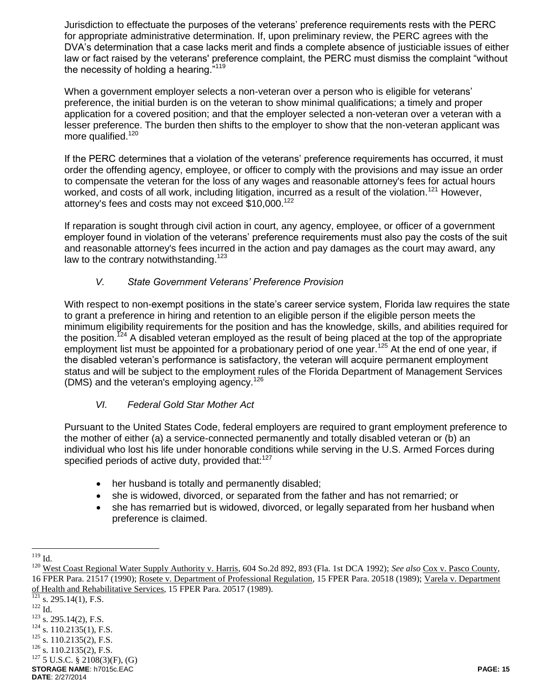Jurisdiction to effectuate the purposes of the veterans' preference requirements rests with the PERC for appropriate administrative determination. If, upon preliminary review, the PERC agrees with the DVA's determination that a case lacks merit and finds a complete absence of justiciable issues of either law or fact raised by the veterans' preference complaint, the PERC must dismiss the complaint "without the necessity of holding a hearing."<sup>119</sup>

When a government employer selects a non-veteran over a person who is eligible for veterans' preference, the initial burden is on the veteran to show minimal qualifications; a timely and proper application for a covered position; and that the employer selected a non-veteran over a veteran with a lesser preference. The burden then shifts to the employer to show that the non-veteran applicant was more qualified.<sup>120</sup>

If the PERC determines that a violation of the veterans' preference requirements has occurred, it must order the offending agency, employee, or officer to comply with the provisions and may issue an order to compensate the veteran for the loss of any wages and reasonable attorney's fees for actual hours worked, and costs of all work, including litigation, incurred as a result of the violation.<sup>121</sup> However, attorney's fees and costs may not exceed \$10,000.<sup>122</sup>

If reparation is sought through civil action in court, any agency, employee, or officer of a government employer found in violation of the veterans' preference requirements must also pay the costs of the suit and reasonable attorney's fees incurred in the action and pay damages as the court may award, any law to the contrary notwithstanding.<sup>123</sup>

## *V. State Government Veterans' Preference Provision*

With respect to non-exempt positions in the state's career service system, Florida law requires the state to grant a preference in hiring and retention to an eligible person if the eligible person meets the minimum eligibility requirements for the position and has the knowledge, skills, and abilities required for the position.<sup>124</sup> A disabled veteran employed as the result of being placed at the top of the appropriate employment list must be appointed for a probationary period of one year.<sup>125</sup> At the end of one year, if the disabled veteran's performance is satisfactory, the veteran will acquire permanent employment status and will be subject to the employment rules of the Florida Department of Management Services (DMS) and the veteran's employing agency.<sup>126</sup>

## *VI. Federal Gold Star Mother Act*

Pursuant to the United States Code, federal employers are required to grant employment preference to the mother of either (a) a service-connected permanently and totally disabled veteran or (b) an individual who lost his life under honorable conditions while serving in the U.S. Armed Forces during specified periods of active duty, provided that:<sup>127</sup>

- her husband is totally and permanently disabled;
- she is widowed, divorced, or separated from the father and has not remarried; or
- she has remarried but is widowed, divorced, or legally separated from her husband when preference is claimed.

 $\overline{a}$  $119$  Id.

<sup>&</sup>lt;sup>120</sup> West Coast Regional Water Supply Authority v. Harris, 604 So.2d 892, 893 (Fla. 1st DCA 1992); *See also* Cox v. Pasco County, 16 FPER Para. 21517 (1990); Rosete v. Department of Professional Regulation, 15 FPER Para. 20518 (1989); Varela v. Department of Health and Rehabilitative Services, 15 FPER Para. 20517 (1989).

**STORAGE NAME**: h7015c.EAC **PAGE: 15 DATE**: 2/27/2014  $\frac{121}{121}$  s. 295.14(1), F.S. <sup>122</sup> Id.  $123$  s. 295.14(2), F.S.  $124$  s. 110.2135(1), F.S.  $125$  s. 110.2135(2), F.S.  $126$  s. 110.2135(2), F.S.  $127$  5 U.S.C. § 2108(3)(F), (G)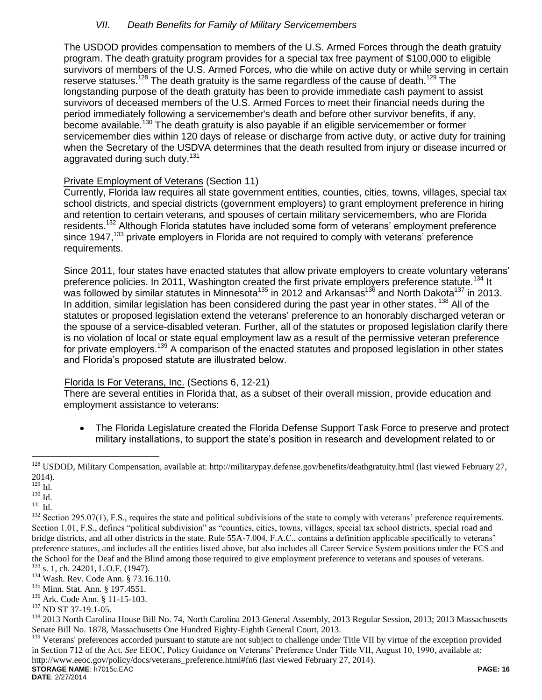## *VII. Death Benefits for Family of Military Servicemembers*

The USDOD provides compensation to members of the U.S. Armed Forces through the death gratuity program. The death gratuity program provides for a special tax free payment of \$100,000 to eligible survivors of members of the U.S. Armed Forces, who die while on active duty or while serving in certain reserve statuses.<sup>128</sup> The death gratuity is the same regardless of the cause of death.<sup>129</sup> The longstanding purpose of the death gratuity has been to provide immediate cash payment to assist survivors of deceased members of the U.S. Armed Forces to meet their financial needs during the period immediately following a servicemember's death and before other survivor benefits, if any, become available.<sup>130</sup> The death gratuity is also payable if an eligible servicemember or former servicemember dies within 120 days of release or discharge from active duty, or active duty for training when the Secretary of the USDVA determines that the death resulted from injury or disease incurred or aggravated during such duty.<sup>131</sup>

## Private Employment of Veterans (Section 11)

Currently, Florida law requires all state government entities, counties, cities, towns, villages, special tax school districts, and special districts (government employers) to grant employment preference in hiring and retention to certain veterans, and spouses of certain military servicemembers, who are Florida residents.<sup>132</sup> Although Florida statutes have included some form of veterans' employment preference since 1947, $^{133}$  private employers in Florida are not required to comply with veterans' preference requirements.

Since 2011, four states have enacted statutes that allow private employers to create voluntary veterans' preference policies. In 2011, Washington created the first private employers preference statute.<sup>134</sup> It was followed by similar statutes in Minnesota<sup>135</sup> in 2012 and Arkansas<sup>136</sup> and North Dakota<sup>137</sup> in 2013. In addition, similar legislation has been considered during the past year in other states. <sup>138</sup> All of the statutes or proposed legislation extend the veterans' preference to an honorably discharged veteran or the spouse of a service-disabled veteran. Further, all of the statutes or proposed legislation clarify there is no violation of local or state equal employment law as a result of the permissive veteran preference for private employers.<sup>139</sup> A comparison of the enacted statutes and proposed legislation in other states and Florida's proposed statute are illustrated below.

## Florida Is For Veterans, Inc. (Sections 6, 12-21)

There are several entities in Florida that, as a subset of their overall mission, provide education and employment assistance to veterans:

• The Florida Legislature created the Florida Defense Support Task Force to preserve and protect military installations, to support the state's position in research and development related to or

 $\overline{a}$ 

<sup>131</sup> Id.

<sup>139</sup> Veterans' preferences accorded pursuant to statute are not subject to challenge under Title VII by virtue of the exception provided in Section 712 of the Act. *See* EEOC, Policy Guidance on Veterans' Preference Under Title VII, August 10, 1990, available at:

**STORAGE NAME**: h7015c.EAC **PAGE: 16** http://www.eeoc.gov/policy/docs/veterans\_preference.html#fn6 (last viewed February 27, 2014).

<sup>&</sup>lt;sup>128</sup> USDOD, Military Compensation, available at: http://militarypay.defense.gov/benefits/deathgratuity.html (last viewed February 27, 2014).

 $^{129}$  Id.

 $^{130}$  Id.

<sup>&</sup>lt;sup>132</sup> Section 295.07(1), F.S., requires the state and political subdivisions of the state to comply with veterans' preference requirements. Section 1.01, F.S., defines "political subdivision" as "counties, cities, towns, villages, special tax school districts, special road and bridge districts, and all other districts in the state. Rule 55A-7.004, F.A.C., contains a definition applicable specifically to veterans' preference statutes, and includes all the entities listed above, but also includes all Career Service System positions under the FCS and the School for the Deaf and the Blind among those required to give employment preference to veterans and spouses of veterans. <sup>133</sup> s. 1, ch. 24201, L.O.F. (1947).

<sup>134</sup> Wash. Rev. Code Ann. § 73.16.110.

<sup>135</sup> Minn. Stat. Ann. § 197.4551.

<sup>136</sup> Ark. Code Ann. § 11-15-103.

<sup>137</sup> ND ST 37-19.1-05.

<sup>&</sup>lt;sup>138</sup> 2013 North Carolina House Bill No. 74, North Carolina 2013 General Assembly, 2013 Regular Session, 2013; 2013 Massachusetts Senate Bill No. 1878, Massachusetts One Hundred Eighty-Eighth General Court, 2013.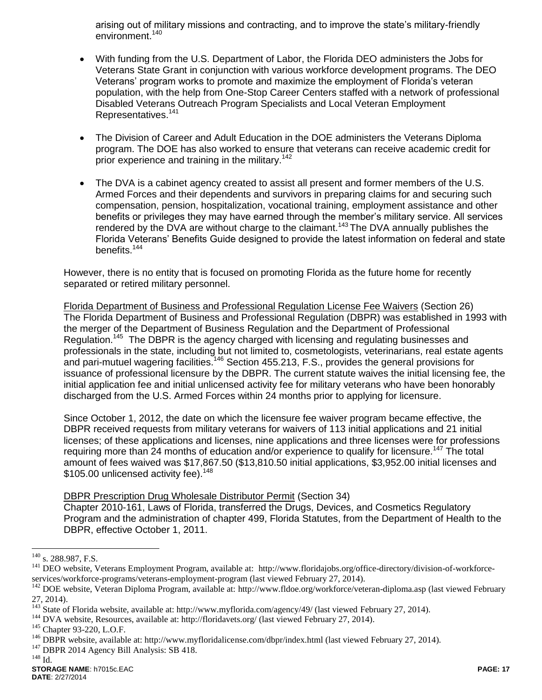arising out of military missions and contracting, and to improve the state's military-friendly environment.<sup>140</sup>

- With funding from the U.S. Department of Labor, the Florida DEO administers the Jobs for Veterans State Grant in conjunction with various workforce development programs. The DEO Veterans' program works to promote and maximize the employment of Florida's veteran population, with the help from One-Stop Career Centers staffed with a network of professional Disabled Veterans Outreach Program Specialists and Local Veteran Employment Representatives.<sup>141</sup>
- The Division of Career and Adult Education in the DOE administers the Veterans Diploma program. The DOE has also worked to ensure that veterans can receive academic credit for prior experience and training in the military.<sup>142</sup>
- The DVA is a cabinet agency created to assist all present and former members of the U.S. Armed Forces and their dependents and survivors in preparing claims for and securing such compensation, pension, hospitalization, vocational training, employment assistance and other benefits or privileges they may have earned through the member's military service. All services rendered by the DVA are without charge to the claimant.<sup>143</sup> The DVA annually publishes the Florida Veterans' Benefits Guide designed to provide the latest information on federal and state benefits.<sup>144</sup>

However, there is no entity that is focused on promoting Florida as the future home for recently separated or retired military personnel.

Florida Department of Business and Professional Regulation License Fee Waivers (Section 26) The Florida Department of Business and Professional Regulation (DBPR) was established in 1993 with the merger of the Department of Business Regulation and the Department of Professional Regulation.<sup>145</sup> The DBPR is the agency charged with licensing and regulating businesses and professionals in the state, including but not limited to, cosmetologists, veterinarians, real estate agents and pari-mutuel wagering facilities.<sup>146</sup> Section 455.213, F.S., provides the general provisions for issuance of professional licensure by the DBPR. The current statute waives the initial licensing fee, the initial application fee and initial unlicensed activity fee for military veterans who have been honorably discharged from the U.S. Armed Forces within 24 months prior to applying for licensure.

Since October 1, 2012, the date on which the licensure fee waiver program became effective, the DBPR received requests from military veterans for waivers of 113 initial applications and 21 initial licenses; of these applications and licenses, nine applications and three licenses were for professions requiring more than 24 months of education and/or experience to qualify for licensure.<sup>147</sup> The total amount of fees waived was \$17,867.50 (\$13,810.50 initial applications, \$3,952.00 initial licenses and \$105.00 unlicensed activity fee).<sup>148</sup>

### DBPR Prescription Drug Wholesale Distributor Permit (Section 34)

Chapter 2010-161, Laws of Florida, transferred the Drugs, Devices, and Cosmetics Regulatory Program and the administration of chapter 499, Florida Statutes, from the Department of Health to the DBPR, effective October 1, 2011.

 $^{148}$  Id.

<sup>&</sup>lt;sup>140</sup> s. 288.987, F.S.

<sup>&</sup>lt;sup>141</sup> DEO website, Veterans Employment Program, available at: http://www.floridajobs.org/office-directory/division-of-workforceservices/workforce-programs/veterans-employment-program (last viewed February 27, 2014).

<sup>&</sup>lt;sup>142</sup> DOE website, Veteran Diploma Program, available at: http://www.fldoe.org/workforce/veteran-diploma.asp (last viewed February 27, 2014).

<sup>&</sup>lt;sup>143</sup> State of Florida website, available at: http://www.myflorida.com/agency/49/ (last viewed February 27, 2014).

<sup>&</sup>lt;sup>144</sup> DVA website, Resources, available at: http://floridavets.org/ (last viewed February 27, 2014).

<sup>145</sup> Chapter 93-220, L.O.F.

<sup>&</sup>lt;sup>146</sup> DBPR website, available at: http://www.myfloridalicense.com/dbpr/index.html (last viewed February 27, 2014).

<sup>&</sup>lt;sup>147</sup> DBPR 2014 Agency Bill Analysis: SB 418.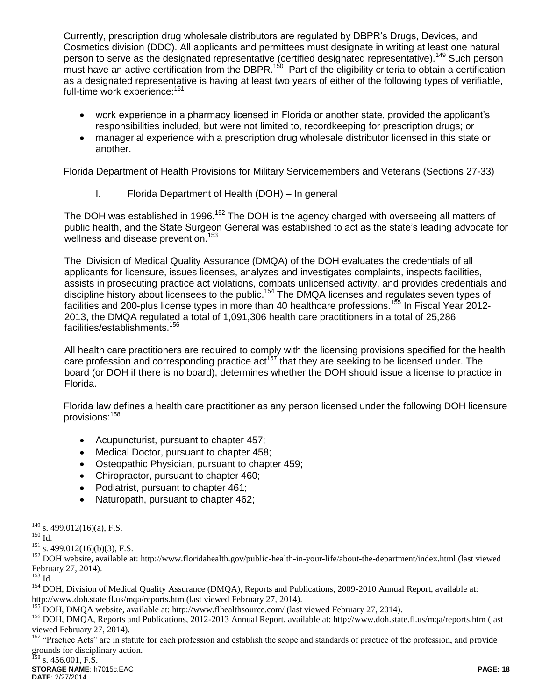Currently, prescription drug wholesale distributors are regulated by DBPR's Drugs, Devices, and Cosmetics division (DDC). All applicants and permittees must designate in writing at least one natural person to serve as the designated representative (certified designated representative).<sup>149</sup> Such person must have an active certification from the DBPR.<sup>150</sup> Part of the eligibility criteria to obtain a certification as a designated representative is having at least two years of either of the following types of verifiable, full-time work experience:<sup>151</sup>

- work experience in a pharmacy licensed in Florida or another state, provided the applicant's responsibilities included, but were not limited to, recordkeeping for prescription drugs; or
- managerial experience with a prescription drug wholesale distributor licensed in this state or another.

Florida Department of Health Provisions for Military Servicemembers and Veterans (Sections 27-33)

I. Florida Department of Health (DOH) – In general

The DOH was established in 1996.<sup>152</sup> The DOH is the agency charged with overseeing all matters of public health, and the State Surgeon General was established to act as the state's leading advocate for wellness and disease prevention.<sup>153</sup>

The Division of Medical Quality Assurance (DMQA) of the DOH evaluates the credentials of all applicants for licensure, issues licenses, analyzes and investigates complaints, inspects facilities, assists in prosecuting practice act violations, combats unlicensed activity, and provides credentials and discipline history about licensees to the public.<sup>154</sup> The DMQA licenses and regulates seven types of facilities and 200-plus license types in more than 40 healthcare professions.<sup>155</sup> In Fiscal Year 2012-2013, the DMQA regulated a total of 1,091,306 health care practitioners in a total of 25,286 facilities/establishments.<sup>156</sup>

All health care practitioners are required to comply with the licensing provisions specified for the health care profession and corresponding practice act<sup>157</sup> that they are seeking to be licensed under. The board (or DOH if there is no board), determines whether the DOH should issue a license to practice in Florida.

Florida law defines a health care practitioner as any person licensed under the following DOH licensure provisions:<sup>158</sup>

- Acupuncturist, pursuant to chapter 457;
- Medical Doctor, pursuant to chapter 458;
- Osteopathic Physician, pursuant to chapter 459;
- Chiropractor, pursuant to chapter 460;
- Podiatrist, pursuant to chapter 461;
- Naturopath, pursuant to chapter 462;

 $^{149}$  s. 499.012(16)(a), F.S.

 $150$  Id.

 $151$  s. 499.012(16)(b)(3), F.S.

<sup>&</sup>lt;sup>152</sup> DOH website, available at: http://www.floridahealth.gov/public-health-in-your-life/about-the-department/index.html (last viewed February 27, 2014).

 $^{153}$  Id.

<sup>&</sup>lt;sup>154</sup> DOH, Division of Medical Quality Assurance (DMQA), Reports and Publications, 2009-2010 Annual Report, available at: http://www.doh.state.fl.us/mqa/reports.htm (last viewed February 27, 2014).

<sup>&</sup>lt;sup>155</sup> DOH, DMQA website, available at: http://www.flhealthsource.com/ (last viewed February 27, 2014).

<sup>156</sup> DOH, DMQA, Reports and Publications, 2012-2013 Annual Report, available at: http://www.doh.state.fl.us/mqa/reports.htm (last viewed February 27, 2014).

<sup>&</sup>lt;sup>157</sup> "Practice Acts" are in statute for each profession and establish the scope and standards of practice of the profession, and provide grounds for disciplinary action.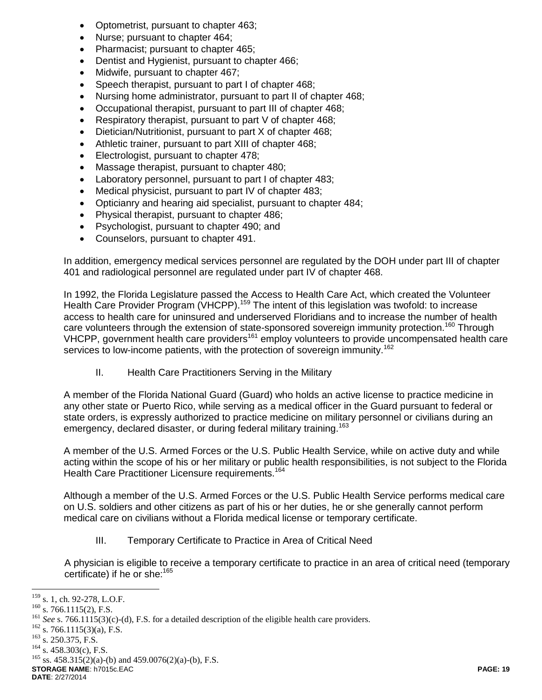- Optometrist, pursuant to chapter 463;
- Nurse; pursuant to chapter 464;
- Pharmacist; pursuant to chapter 465;
- Dentist and Hygienist, pursuant to chapter 466;
- Midwife, pursuant to chapter 467;
- Speech therapist, pursuant to part I of chapter 468;
- Nursing home administrator, pursuant to part II of chapter 468;
- Occupational therapist, pursuant to part III of chapter 468;
- Respiratory therapist, pursuant to part V of chapter 468;
- Dietician/Nutritionist, pursuant to part X of chapter 468;
- Athletic trainer, pursuant to part XIII of chapter 468;
- **Electrologist, pursuant to chapter 478;**
- Massage therapist, pursuant to chapter 480;
- Laboratory personnel, pursuant to part I of chapter 483;
- Medical physicist, pursuant to part IV of chapter 483;
- Opticianry and hearing aid specialist, pursuant to chapter 484;
- Physical therapist, pursuant to chapter 486;
- Psychologist, pursuant to chapter 490; and
- Counselors, pursuant to chapter 491.

In addition, emergency medical services personnel are regulated by the DOH under part III of chapter 401 and radiological personnel are regulated under part IV of chapter 468.

In 1992, the Florida Legislature passed the Access to Health Care Act, which created the Volunteer Health Care Provider Program (VHCPP).<sup>159</sup> The intent of this legislation was twofold: to increase access to health care for uninsured and underserved Floridians and to increase the number of health care volunteers through the extension of state-sponsored sovereign immunity protection.<sup>160</sup> Through VHCPP, government health care providers<sup>161</sup> employ volunteers to provide uncompensated health care services to low-income patients, with the protection of sovereign immunity.<sup>162</sup>

II. Health Care Practitioners Serving in the Military

A member of the Florida National Guard (Guard) who holds an active license to practice medicine in any other state or Puerto Rico, while serving as a medical officer in the Guard pursuant to federal or state orders, is expressly authorized to practice medicine on military personnel or civilians during an emergency, declared disaster, or during federal military training.<sup>163</sup>

A member of the U.S. Armed Forces or the U.S. Public Health Service, while on active duty and while acting within the scope of his or her military or public health responsibilities, is not subject to the Florida Health Care Practitioner Licensure requirements.<sup>164</sup>

Although a member of the U.S. Armed Forces or the U.S. Public Health Service performs medical care on U.S. soldiers and other citizens as part of his or her duties, he or she generally cannot perform medical care on civilians without a Florida medical license or temporary certificate.

III. Temporary Certificate to Practice in Area of Critical Need

A physician is eligible to receive a temporary certificate to practice in an area of critical need (temporary certificate) if he or she:<sup>165</sup>

 $\overline{a}$ 

**STORAGE NAME**: h7015c.EAC **PAGE: 19**  $^{165}$  ss. 458.315(2)(a)-(b) and 459.0076(2)(a)-(b), F.S.

**DATE**: 2/27/2014

 $^{159}$  s. 1, ch. 92-278, L.O.F.

 $160$  s. 766.1115(2), F.S.

<sup>&</sup>lt;sup>161</sup> See s. 766.1115(3)(c)-(d), F.S. for a detailed description of the eligible health care providers.

 $162$  s. 766.1115(3)(a), F.S.

<sup>&</sup>lt;sup>163</sup> s. 250.375, F.S.

 $164$  s. 458.303(c), F.S.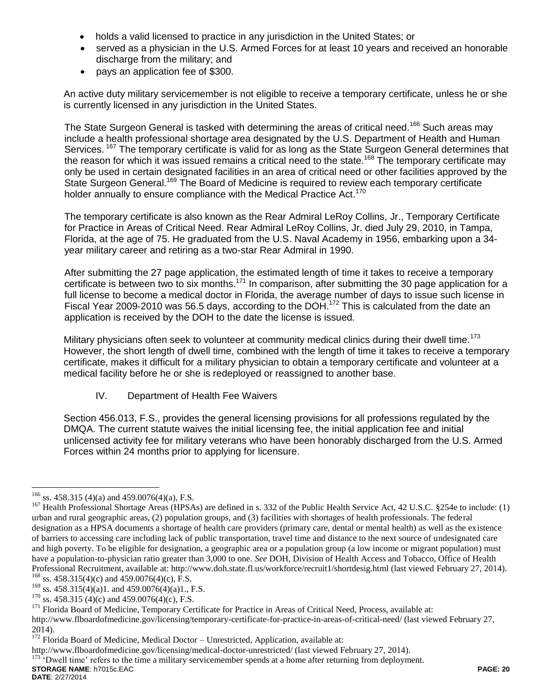- holds a valid licensed to practice in any jurisdiction in the United States; or
- served as a physician in the U.S. Armed Forces for at least 10 years and received an honorable discharge from the military; and
- pays an application fee of \$300.

An active duty military servicemember is not eligible to receive a temporary certificate, unless he or she is currently licensed in any jurisdiction in the United States.

The State Surgeon General is tasked with determining the areas of critical need.<sup>166</sup> Such areas may include a health professional shortage area designated by the U.S. Department of Health and Human Services. <sup>167</sup> The temporary certificate is valid for as long as the State Surgeon General determines that the reason for which it was issued remains a critical need to the state.<sup>168</sup> The temporary certificate may only be used in certain designated facilities in an area of critical need or other facilities approved by the State Surgeon General.<sup>169</sup> The Board of Medicine is required to review each temporary certificate holder annually to ensure compliance with the Medical Practice Act.<sup>170</sup>

The temporary certificate is also known as the Rear Admiral LeRoy Collins, Jr., Temporary Certificate for Practice in Areas of Critical Need. Rear Admiral LeRoy Collins, Jr. died July 29, 2010, in Tampa, Florida, at the age of 75. He graduated from the U.S. Naval Academy in 1956, embarking upon a 34 year military career and retiring as a two-star Rear Admiral in 1990.

After submitting the 27 page application, the estimated length of time it takes to receive a temporary certificate is between two to six months.<sup>171</sup> In comparison, after submitting the 30 page application for a full license to become a medical doctor in Florida, the average number of days to issue such license in Fiscal Year 2009-2010 was 56.5 days, according to the DOH.<sup>172</sup> This is calculated from the date an application is received by the DOH to the date the license is issued.

Military physicians often seek to volunteer at community medical clinics during their dwell time.<sup>173</sup> However, the short length of dwell time, combined with the length of time it takes to receive a temporary certificate, makes it difficult for a military physician to obtain a temporary certificate and volunteer at a medical facility before he or she is redeployed or reassigned to another base.

IV. Department of Health Fee Waivers

Section 456.013, F.S., provides the general licensing provisions for all professions regulated by the DMQA. The current statute waives the initial licensing fee, the initial application fee and initial unlicensed activity fee for military veterans who have been honorably discharged from the U.S. Armed Forces within 24 months prior to applying for licensure.

 $^{166}$  ss. 458.315 (4)(a) and 459.0076(4)(a), F.S.

<sup>&</sup>lt;sup>167</sup> Health Professional Shortage Areas (HPSAs) are defined in s. 332 of the Public Health Service Act, 42 U.S.C. §254e to include: (1) urban and rural geographic areas, (2) population groups, and (3) facilities with shortages of health professionals. The federal designation as a HPSA documents a shortage of health care providers (primary care, dental or mental health) as well as the existence of barriers to accessing care including lack of public transportation, travel time and distance to the next source of undesignated care and high poverty. To be eligible for designation, a geographic area or a population group (a low income or migrant population) must have a population-to-physician ratio greater than 3,000 to one. *See* DOH, Division of Health Access and Tobacco, Office of Health Professional Recruitment, available at: http://www.doh.state.fl.us/workforce/recruit1/shortdesig.html (last viewed February 27, 2014).

 $168$  ss. 458.315(4)(c) and 459.0076(4)(c), F.S.

 $^{169}$  ss. 458.315(4)(a)1. and 459.0076(4)(a)1., F.S.

<sup>&</sup>lt;sup>170</sup> ss. 458.315 (4)(c) and 459.0076(4)(c), F.S.

<sup>&</sup>lt;sup>171</sup> Florida Board of Medicine, Temporary Certificate for Practice in Areas of Critical Need, Process, available at:

http://www.flboardofmedicine.gov/licensing/temporary-certificate-for-practice-in-areas-of-critical-need/ (last viewed February 27, 2014).

<sup>&</sup>lt;sup>172</sup> Florida Board of Medicine, Medical Doctor – Unrestricted, Application, available at:

http://www.flboardofmedicine.gov/licensing/medical-doctor-unrestricted/ (last viewed February 27, 2014).

**STORAGE NAME**: h7015c.EAC **PAGE: 20** <sup>173</sup> 'Dwell time' refers to the time a military servicemember spends at a home after returning from deployment.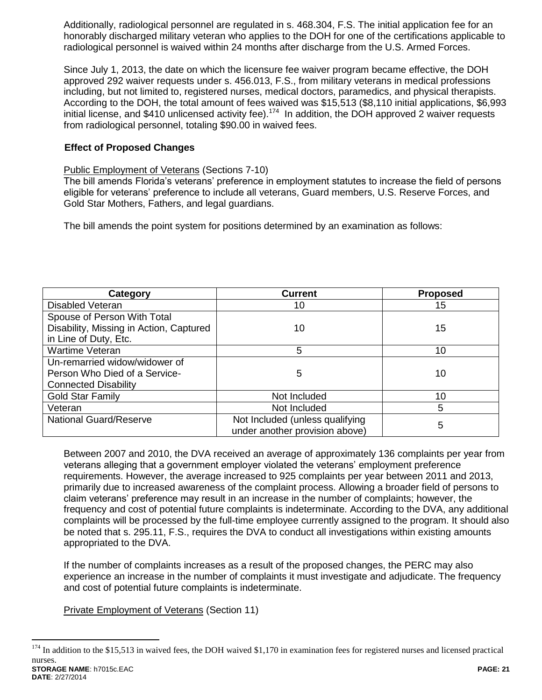Additionally, radiological personnel are regulated in s. 468.304, F.S. The initial application fee for an honorably discharged military veteran who applies to the DOH for one of the certifications applicable to radiological personnel is waived within 24 months after discharge from the U.S. Armed Forces.

Since July 1, 2013, the date on which the licensure fee waiver program became effective, the DOH approved 292 waiver requests under s. 456.013, F.S., from military veterans in medical professions including, but not limited to, registered nurses, medical doctors, paramedics, and physical therapists. According to the DOH, the total amount of fees waived was \$15,513 (\$8,110 initial applications, \$6,993 initial license, and \$410 unlicensed activity fee).<sup>174</sup> In addition, the DOH approved 2 waiver requests from radiological personnel, totaling \$90.00 in waived fees.

### **Effect of Proposed Changes**

### Public Employment of Veterans (Sections 7-10)

The bill amends Florida's veterans' preference in employment statutes to increase the field of persons eligible for veterans' preference to include all veterans, Guard members, U.S. Reserve Forces, and Gold Star Mothers, Fathers, and legal guardians.

The bill amends the point system for positions determined by an examination as follows:

| Category                                | <b>Current</b>                  | <b>Proposed</b> |
|-----------------------------------------|---------------------------------|-----------------|
| <b>Disabled Veteran</b>                 | 10                              | 15              |
| Spouse of Person With Total             |                                 |                 |
| Disability, Missing in Action, Captured | 10                              | 15              |
| in Line of Duty, Etc.                   |                                 |                 |
| Wartime Veteran                         | 5                               | 10              |
| Un-remarried widow/widower of           |                                 |                 |
| Person Who Died of a Service-           | 5                               | 10              |
| <b>Connected Disability</b>             |                                 |                 |
| <b>Gold Star Family</b>                 | Not Included                    | 10              |
| Veteran                                 | Not Included                    | 5               |
| <b>National Guard/Reserve</b>           | Not Included (unless qualifying |                 |
|                                         | under another provision above)  | 5               |

Between 2007 and 2010, the DVA received an average of approximately 136 complaints per year from veterans alleging that a government employer violated the veterans' employment preference requirements. However, the average increased to 925 complaints per year between 2011 and 2013, primarily due to increased awareness of the complaint process. Allowing a broader field of persons to claim veterans' preference may result in an increase in the number of complaints; however, the frequency and cost of potential future complaints is indeterminate. According to the DVA, any additional complaints will be processed by the full-time employee currently assigned to the program. It should also be noted that s. 295.11, F.S., requires the DVA to conduct all investigations within existing amounts appropriated to the DVA.

If the number of complaints increases as a result of the proposed changes, the PERC may also experience an increase in the number of complaints it must investigate and adjudicate. The frequency and cost of potential future complaints is indeterminate.

Private Employment of Veterans (Section 11)

**STORAGE NAME**: h7015c.EAC **PAGE: 21**  $174$  In addition to the \$15,513 in waived fees, the DOH waived \$1,170 in examination fees for registered nurses and licensed practical nurses.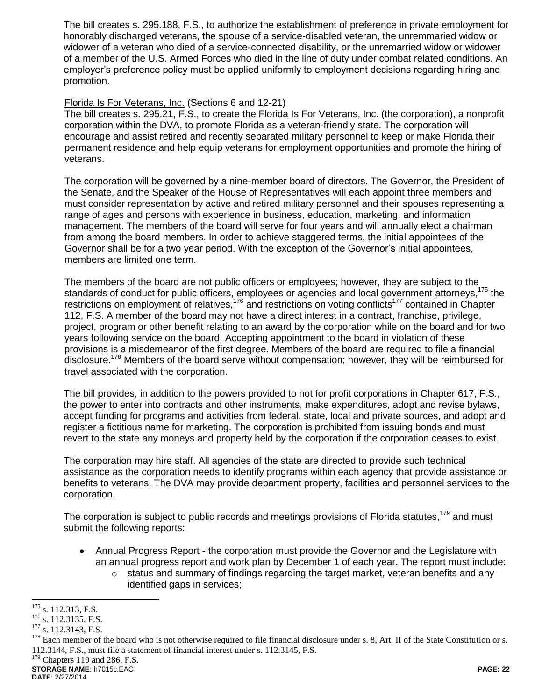The bill creates s. 295.188, F.S., to authorize the establishment of preference in private employment for honorably discharged veterans, the spouse of a service-disabled veteran, the unremmaried widow or widower of a veteran who died of a service-connected disability, or the unremarried widow or widower of a member of the U.S. Armed Forces who died in the line of duty under combat related conditions. An employer's preference policy must be applied uniformly to employment decisions regarding hiring and promotion.

### Florida Is For Veterans, Inc. (Sections 6 and 12-21)

The bill creates s. 295.21, F.S., to create the Florida Is For Veterans, Inc. (the corporation), a nonprofit corporation within the DVA, to promote Florida as a veteran-friendly state. The corporation will encourage and assist retired and recently separated military personnel to keep or make Florida their permanent residence and help equip veterans for employment opportunities and promote the hiring of veterans.

The corporation will be governed by a nine-member board of directors. The Governor, the President of the Senate, and the Speaker of the House of Representatives will each appoint three members and must consider representation by active and retired military personnel and their spouses representing a range of ages and persons with experience in business, education, marketing, and information management. The members of the board will serve for four years and will annually elect a chairman from among the board members. In order to achieve staggered terms, the initial appointees of the Governor shall be for a two year period. With the exception of the Governor's initial appointees, members are limited one term.

The members of the board are not public officers or employees; however, they are subject to the standards of conduct for public officers, employees or agencies and local government attorneys,<sup>175</sup> the restrictions on employment of relatives,<sup>176</sup> and restrictions on voting conflicts<sup>177</sup> contained in Chapter 112, F.S. A member of the board may not have a direct interest in a contract, franchise, privilege, project, program or other benefit relating to an award by the corporation while on the board and for two years following service on the board. Accepting appointment to the board in violation of these provisions is a misdemeanor of the first degree. Members of the board are required to file a financial disclosure.<sup>178</sup> Members of the board serve without compensation; however, they will be reimbursed for travel associated with the corporation.

The bill provides, in addition to the powers provided to not for profit corporations in Chapter 617, F.S., the power to enter into contracts and other instruments, make expenditures, adopt and revise bylaws, accept funding for programs and activities from federal, state, local and private sources, and adopt and register a fictitious name for marketing. The corporation is prohibited from issuing bonds and must revert to the state any moneys and property held by the corporation if the corporation ceases to exist.

The corporation may hire staff. All agencies of the state are directed to provide such technical assistance as the corporation needs to identify programs within each agency that provide assistance or benefits to veterans. The DVA may provide department property, facilities and personnel services to the corporation.

The corporation is subject to public records and meetings provisions of Florida statutes,<sup>179</sup> and must submit the following reports:

- Annual Progress Report the corporation must provide the Governor and the Legislature with an annual progress report and work plan by December 1 of each year. The report must include:
	- $\circ$  status and summary of findings regarding the target market, veteran benefits and any identified gaps in services;

 $\overline{a}$  $175$  s. 112.313, F.S.

 $176$  s. 112.3135, F.S.

<sup>&</sup>lt;sup>177</sup> s. 112.3143, F.S.

<sup>&</sup>lt;sup>178</sup> Each member of the board who is not otherwise required to file financial disclosure under s. 8, Art. II of the State Constitution or s. 112.3144, F.S., must file a statement of financial interest under s. 112.3145, F.S.

 $179$  Chapters 119 and 286, F.S.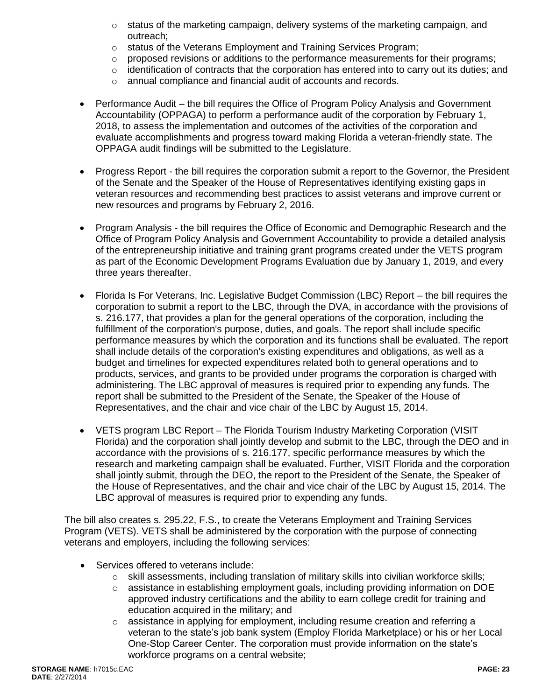- o status of the marketing campaign, delivery systems of the marketing campaign, and outreach;
- o status of the Veterans Employment and Training Services Program;
- $\circ$  proposed revisions or additions to the performance measurements for their programs;
- $\circ$  identification of contracts that the corporation has entered into to carry out its duties; and
- o annual compliance and financial audit of accounts and records.
- Performance Audit the bill requires the Office of Program Policy Analysis and Government Accountability (OPPAGA) to perform a performance audit of the corporation by February 1, 2018, to assess the implementation and outcomes of the activities of the corporation and evaluate accomplishments and progress toward making Florida a veteran-friendly state. The OPPAGA audit findings will be submitted to the Legislature.
- Progress Report the bill requires the corporation submit a report to the Governor, the President of the Senate and the Speaker of the House of Representatives identifying existing gaps in veteran resources and recommending best practices to assist veterans and improve current or new resources and programs by February 2, 2016.
- Program Analysis the bill requires the Office of Economic and Demographic Research and the Office of Program Policy Analysis and Government Accountability to provide a detailed analysis of the entrepreneurship initiative and training grant programs created under the VETS program as part of the Economic Development Programs Evaluation due by January 1, 2019, and every three years thereafter.
- Florida Is For Veterans, Inc. Legislative Budget Commission (LBC) Report the bill requires the corporation to submit a report to the LBC, through the DVA, in accordance with the provisions of s. 216.177, that provides a plan for the general operations of the corporation, including the fulfillment of the corporation's purpose, duties, and goals. The report shall include specific performance measures by which the corporation and its functions shall be evaluated. The report shall include details of the corporation's existing expenditures and obligations, as well as a budget and timelines for expected expenditures related both to general operations and to products, services, and grants to be provided under programs the corporation is charged with administering. The LBC approval of measures is required prior to expending any funds. The report shall be submitted to the President of the Senate, the Speaker of the House of Representatives, and the chair and vice chair of the LBC by August 15, 2014.
- VETS program LBC Report The Florida Tourism Industry Marketing Corporation (VISIT Florida) and the corporation shall jointly develop and submit to the LBC, through the DEO and in accordance with the provisions of s. 216.177, specific performance measures by which the research and marketing campaign shall be evaluated. Further, VISIT Florida and the corporation shall jointly submit, through the DEO, the report to the President of the Senate, the Speaker of the House of Representatives, and the chair and vice chair of the LBC by August 15, 2014. The LBC approval of measures is required prior to expending any funds.

The bill also creates s. 295.22, F.S., to create the Veterans Employment and Training Services Program (VETS). VETS shall be administered by the corporation with the purpose of connecting veterans and employers, including the following services:

- Services offered to veterans include:
	- $\circ$  skill assessments, including translation of military skills into civilian workforce skills;
	- $\circ$  assistance in establishing employment goals, including providing information on DOE approved industry certifications and the ability to earn college credit for training and education acquired in the military; and
	- $\circ$  assistance in applying for employment, including resume creation and referring a veteran to the state's job bank system (Employ Florida Marketplace) or his or her Local One-Stop Career Center. The corporation must provide information on the state's workforce programs on a central website;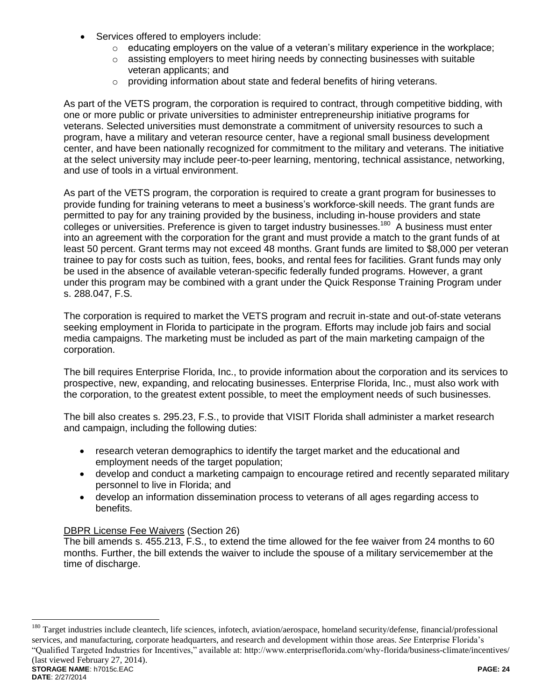- Services offered to employers include:
	- $\circ$  educating employers on the value of a veteran's military experience in the workplace;
	- $\circ$  assisting employers to meet hiring needs by connecting businesses with suitable veteran applicants; and
	- o providing information about state and federal benefits of hiring veterans.

As part of the VETS program, the corporation is required to contract, through competitive bidding, with one or more public or private universities to administer entrepreneurship initiative programs for veterans. Selected universities must demonstrate a commitment of university resources to such a program, have a military and veteran resource center, have a regional small business development center, and have been nationally recognized for commitment to the military and veterans. The initiative at the select university may include peer-to-peer learning, mentoring, technical assistance, networking, and use of tools in a virtual environment.

As part of the VETS program, the corporation is required to create a grant program for businesses to provide funding for training veterans to meet a business's workforce-skill needs. The grant funds are permitted to pay for any training provided by the business, including in-house providers and state colleges or universities. Preference is given to target industry businesses.<sup>180</sup> A business must enter into an agreement with the corporation for the grant and must provide a match to the grant funds of at least 50 percent. Grant terms may not exceed 48 months. Grant funds are limited to \$8,000 per veteran trainee to pay for costs such as tuition, fees, books, and rental fees for facilities. Grant funds may only be used in the absence of available veteran-specific federally funded programs. However, a grant under this program may be combined with a grant under the Quick Response Training Program under s. 288.047, F.S.

The corporation is required to market the VETS program and recruit in-state and out-of-state veterans seeking employment in Florida to participate in the program. Efforts may include job fairs and social media campaigns. The marketing must be included as part of the main marketing campaign of the corporation.

The bill requires Enterprise Florida, Inc., to provide information about the corporation and its services to prospective, new, expanding, and relocating businesses. Enterprise Florida, Inc., must also work with the corporation, to the greatest extent possible, to meet the employment needs of such businesses.

The bill also creates s. 295.23, F.S., to provide that VISIT Florida shall administer a market research and campaign, including the following duties:

- research veteran demographics to identify the target market and the educational and employment needs of the target population;
- develop and conduct a marketing campaign to encourage retired and recently separated military personnel to live in Florida; and
- develop an information dissemination process to veterans of all ages regarding access to benefits.

### DBPR License Fee Waivers (Section 26)

 $\overline{a}$ 

The bill amends s. 455.213, F.S., to extend the time allowed for the fee waiver from 24 months to 60 months. Further, the bill extends the waiver to include the spouse of a military servicemember at the time of discharge.

**STORAGE NAME**: h7015c.EAC **PAGE: 24 DATE**: 2/27/2014 <sup>180</sup> Target industries include cleantech, life sciences, infotech, aviation/aerospace, homeland security/defense, financial/professional services, and manufacturing, corporate headquarters, and research and development within those areas. *See* Enterprise Florida's "Qualified Targeted Industries for Incentives," available at: http://www.enterpriseflorida.com/why-florida/business-climate/incentives/ (last viewed February 27, 2014).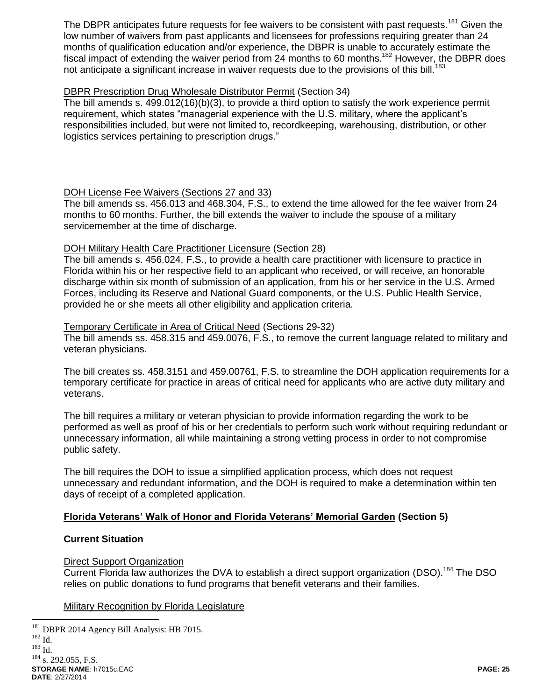The DBPR anticipates future requests for fee waivers to be consistent with past requests.<sup>181</sup> Given the low number of waivers from past applicants and licensees for professions requiring greater than 24 months of qualification education and/or experience, the DBPR is unable to accurately estimate the fiscal impact of extending the waiver period from 24 months to 60 months.<sup>182</sup> However, the DBPR does not anticipate a significant increase in waiver requests due to the provisions of this bill.<sup>183</sup>

### DBPR Prescription Drug Wholesale Distributor Permit (Section 34)

The bill amends s. 499.012(16)(b)(3), to provide a third option to satisfy the work experience permit requirement, which states "managerial experience with the U.S. military, where the applicant's responsibilities included, but were not limited to, recordkeeping, warehousing, distribution, or other logistics services pertaining to prescription drugs."

#### DOH License Fee Waivers (Sections 27 and 33)

The bill amends ss. 456.013 and 468.304, F.S., to extend the time allowed for the fee waiver from 24 months to 60 months. Further, the bill extends the waiver to include the spouse of a military servicemember at the time of discharge.

#### DOH Military Health Care Practitioner Licensure (Section 28)

The bill amends s. 456.024, F.S., to provide a health care practitioner with licensure to practice in Florida within his or her respective field to an applicant who received, or will receive, an honorable discharge within six month of submission of an application, from his or her service in the U.S. Armed Forces, including its Reserve and National Guard components, or the U.S. Public Health Service, provided he or she meets all other eligibility and application criteria.

#### Temporary Certificate in Area of Critical Need (Sections 29-32)

The bill amends ss. 458.315 and 459.0076, F.S., to remove the current language related to military and veteran physicians.

The bill creates ss. 458.3151 and 459.00761, F.S. to streamline the DOH application requirements for a temporary certificate for practice in areas of critical need for applicants who are active duty military and veterans.

The bill requires a military or veteran physician to provide information regarding the work to be performed as well as proof of his or her credentials to perform such work without requiring redundant or unnecessary information, all while maintaining a strong vetting process in order to not compromise public safety.

The bill requires the DOH to issue a simplified application process, which does not request unnecessary and redundant information, and the DOH is required to make a determination within ten days of receipt of a completed application.

#### **Florida Veterans' Walk of Honor and Florida Veterans' Memorial Garden (Section 5)**

#### **Current Situation**

#### Direct Support Organization

Current Florida law authorizes the DVA to establish a direct support organization (DSO).<sup>184</sup> The DSO relies on public donations to fund programs that benefit veterans and their families.

#### Military Recognition by Florida Legislature

**STORAGE NAME**: h7015c.EAC **PAGE: 25 DATE**: 2/27/2014  $\overline{a}$ <sup>181</sup> DBPR 2014 Agency Bill Analysis: HB 7015.  $182$  Id.  $^{183}$  Id. <sup>184</sup> s. 292.055, F.S.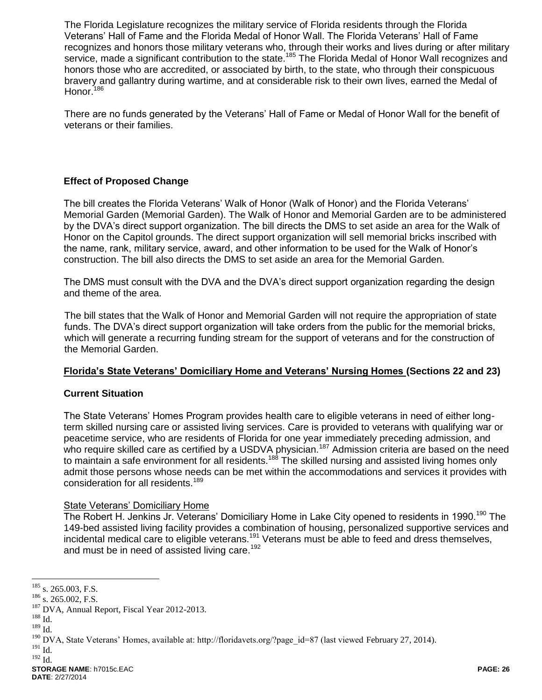The Florida Legislature recognizes the military service of Florida residents through the Florida Veterans' Hall of Fame and the Florida Medal of Honor Wall. The Florida Veterans' Hall of Fame recognizes and honors those military veterans who, through their works and lives during or after military service, made a significant contribution to the state.<sup>185</sup> The Florida Medal of Honor Wall recognizes and honors those who are accredited, or associated by birth, to the state, who through their conspicuous bravery and gallantry during wartime, and at considerable risk to their own lives, earned the Medal of Honor.<sup>186</sup>

There are no funds generated by the Veterans' Hall of Fame or Medal of Honor Wall for the benefit of veterans or their families.

## **Effect of Proposed Change**

The bill creates the Florida Veterans' Walk of Honor (Walk of Honor) and the Florida Veterans' Memorial Garden (Memorial Garden). The Walk of Honor and Memorial Garden are to be administered by the DVA's direct support organization. The bill directs the DMS to set aside an area for the Walk of Honor on the Capitol grounds. The direct support organization will sell memorial bricks inscribed with the name, rank, military service, award, and other information to be used for the Walk of Honor's construction. The bill also directs the DMS to set aside an area for the Memorial Garden.

The DMS must consult with the DVA and the DVA's direct support organization regarding the design and theme of the area.

The bill states that the Walk of Honor and Memorial Garden will not require the appropriation of state funds. The DVA's direct support organization will take orders from the public for the memorial bricks, which will generate a recurring funding stream for the support of veterans and for the construction of the Memorial Garden.

### **Florida's State Veterans' Domiciliary Home and Veterans' Nursing Homes (Sections 22 and 23)**

### **Current Situation**

The State Veterans' Homes Program provides health care to eligible veterans in need of either longterm skilled nursing care or assisted living services. Care is provided to veterans with qualifying war or peacetime service, who are residents of Florida for one year immediately preceding admission, and who require skilled care as certified by a USDVA physician.<sup>187</sup> Admission criteria are based on the need to maintain a safe environment for all residents.<sup>188</sup> The skilled nursing and assisted living homes only admit those persons whose needs can be met within the accommodations and services it provides with consideration for all residents.<sup>189</sup>

#### State Veterans' Domiciliary Home

The Robert H. Jenkins Jr. Veterans' Domiciliary Home in Lake City opened to residents in 1990.<sup>190</sup> The 149-bed assisted living facility provides a combination of housing, personalized supportive services and incidental medical care to eligible veterans.<sup>191</sup> Veterans must be able to feed and dress themselves, and must be in need of assisted living care.<sup>192</sup>

 $\overline{a}$ 

 $^{191}$  Id.  $192$  Id.

 $185$  s. 265.003, F.S.

<sup>&</sup>lt;sup>186</sup> s. 265.002, F.S.

<sup>&</sup>lt;sup>187</sup> DVA, Annual Report, Fiscal Year 2012-2013.

 $^{188}$  Id.

 $^{189}$  Id.

<sup>&</sup>lt;sup>190</sup> DVA, State Veterans' Homes, available at: http://floridavets.org/?page\_id=87 (last viewed February 27, 2014).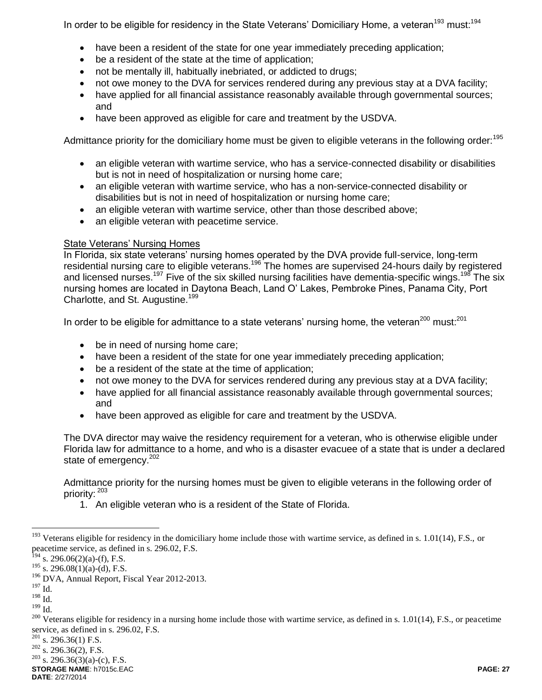In order to be eligible for residency in the State Veterans' Domiciliary Home, a veteran<sup>193</sup> must:<sup>194</sup>

- have been a resident of the state for one year immediately preceding application;
- be a resident of the state at the time of application;
- not be mentally ill, habitually inebriated, or addicted to drugs;
- not owe money to the DVA for services rendered during any previous stay at a DVA facility;
- have applied for all financial assistance reasonably available through governmental sources; and
- have been approved as eligible for care and treatment by the USDVA.

Admittance priority for the domiciliary home must be given to eligible veterans in the following order:<sup>195</sup>

- an eligible veteran with wartime service, who has a service-connected disability or disabilities but is not in need of hospitalization or nursing home care;
- an eligible veteran with wartime service, who has a non-service-connected disability or disabilities but is not in need of hospitalization or nursing home care;
- an eligible veteran with wartime service, other than those described above;
- an eligible veteran with peacetime service.

### State Veterans' Nursing Homes

In Florida, six state veterans' nursing homes operated by the DVA provide full-service, long-term residential nursing care to eligible veterans.<sup>196</sup> The homes are supervised 24-hours daily by registered and licensed nurses.<sup>197</sup> Five of the six skilled nursing facilities have dementia-specific wings.<sup>198</sup> The six nursing homes are located in Daytona Beach, Land O' Lakes, Pembroke Pines, Panama City, Port Charlotte, and St. Augustine.<sup>199</sup>

In order to be eligible for admittance to a state veterans' nursing home, the veteran<sup>200</sup> must:<sup>201</sup>

- be in need of nursing home care;
- have been a resident of the state for one year immediately preceding application;
- be a resident of the state at the time of application;
- not owe money to the DVA for services rendered during any previous stay at a DVA facility;
- have applied for all financial assistance reasonably available through governmental sources; and
- have been approved as eligible for care and treatment by the USDVA.

The DVA director may waive the residency requirement for a veteran, who is otherwise eligible under Florida law for admittance to a home, and who is a disaster evacuee of a state that is under a declared state of emergency.<sup>202</sup>

Admittance priority for the nursing homes must be given to eligible veterans in the following order of priority: <sup>203</sup>

1. An eligible veteran who is a resident of the State of Florida.

 $\overline{a}$ 

**STORAGE NAME**: h7015c.EAC **PAGE: 27**  $203$  s. 296.36(3)(a)-(c), F.S.

**DATE**: 2/27/2014

 $193$  Veterans eligible for residency in the domiciliary home include those with wartime service, as defined in s. 1.01(14), F.S., or peacetime service, as defined in s. 296.02, F.S.

 $^{194}$  s. 296.06(2)(a)-(f), F.S.

 $195$  s. 296.08(1)(a)-(d), F.S.

<sup>196</sup> DVA, Annual Report, Fiscal Year 2012-2013.

 $^{197}\!$  Id.

<sup>198</sup> Id.

 $^{199}$  Id.

<sup>&</sup>lt;sup>200</sup> Veterans eligible for residency in a nursing home include those with wartime service, as defined in s. 1.01(14), F.S., or peacetime service, as defined in s. 296.02, F.S.

 $^{201}$  s. 296.36(1) F.S.

 $202$  s. 296.36(2), F.S.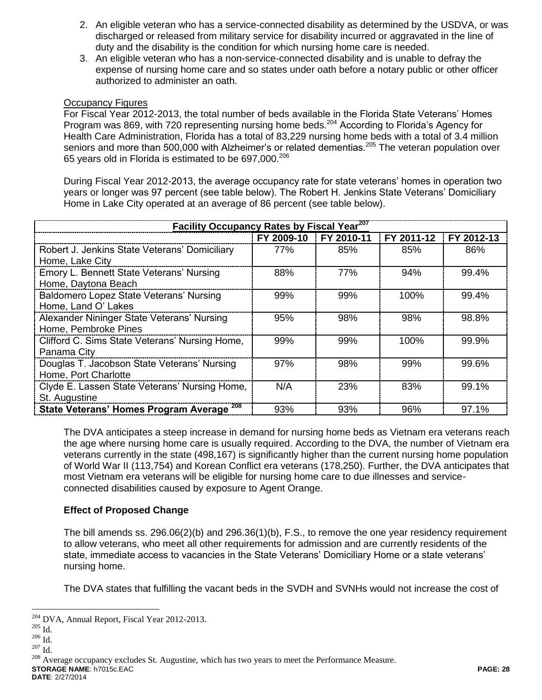- 2. An eligible veteran who has a service-connected disability as determined by the USDVA, or was discharged or released from military service for disability incurred or aggravated in the line of duty and the disability is the condition for which nursing home care is needed.
- 3. An eligible veteran who has a non-service-connected disability and is unable to defray the expense of nursing home care and so states under oath before a notary public or other officer authorized to administer an oath.

#### Occupancy Figures

For Fiscal Year 2012-2013, the total number of beds available in the Florida State Veterans' Homes Program was 869, with 720 representing nursing home beds.<sup>204</sup> According to Florida's Agency for Health Care Administration, Florida has a total of 83,229 nursing home beds with a total of 3.4 million seniors and more than 500,000 with Alzheimer's or related dementias.<sup>205</sup> The veteran population over 65 years old in Florida is estimated to be 697.000.<sup>206</sup>

During Fiscal Year 2012-2013, the average occupancy rate for state veterans' homes in operation two years or longer was 97 percent (see table below). The Robert H. Jenkins State Veterans' Domiciliary Home in Lake City operated at an average of 86 percent (see table below).

| Facility Occupancy Rates by Fiscal Year <sup>207</sup>              |            |            |            |            |
|---------------------------------------------------------------------|------------|------------|------------|------------|
|                                                                     | FY 2009-10 | FY 2010-11 | FY 2011-12 | FY 2012-13 |
| Robert J. Jenkins State Veterans' Domiciliary<br>Home, Lake City    | 77%        | 85%        | 85%        | 86%        |
| Emory L. Bennett State Veterans' Nursing<br>Home, Daytona Beach     | 88%        | 77%        | 94%        | 99.4%      |
| Baldomero Lopez State Veterans' Nursing<br>Home, Land O' Lakes      | 99%        | 99%        | 100%       | 99.4%      |
| Alexander Nininger State Veterans' Nursing<br>Home, Pembroke Pines  | 95%        | 98%        | 98%        | 98.8%      |
| Clifford C. Sims State Veterans' Nursing Home,<br>Panama City       | 99%        | 99%        | 100%       | 99.9%      |
| Douglas T. Jacobson State Veterans' Nursing<br>Home, Port Charlotte | 97%        | 98%        | 99%        | 99.6%      |
| Clyde E. Lassen State Veterans' Nursing Home,<br>St. Augustine      | N/A        | 23%        | 83%        | 99.1%      |
| State Veterans' Homes Program Average <sup>208</sup>                | 93%        | 93%        | 96%        | 97.1%      |

The DVA anticipates a steep increase in demand for nursing home beds as Vietnam era veterans reach the age where nursing home care is usually required. According to the DVA, the number of Vietnam era veterans currently in the state (498,167) is significantly higher than the current nursing home population of World War II (113,754) and Korean Conflict era veterans (178,250). Further, the DVA anticipates that most Vietnam era veterans will be eligible for nursing home care to due illnesses and serviceconnected disabilities caused by exposure to Agent Orange.

### **Effect of Proposed Change**

The bill amends ss. 296.06(2)(b) and 296.36(1)(b), F.S., to remove the one year residency requirement to allow veterans, who meet all other requirements for admission and are currently residents of the state, immediate access to vacancies in the State Veterans' Domiciliary Home or a state veterans' nursing home.

The DVA states that fulfilling the vacant beds in the SVDH and SVNHs would not increase the cost of

 $\overline{a}$ 

**STORAGE NAME**: h7015c.EAC **PAGE: 28** <sup>208</sup> Average occupancy excludes St. Augustine, which has two years to meet the Performance Measure.

**DATE**: 2/27/2014

<sup>204</sup> DVA, Annual Report, Fiscal Year 2012-2013.

 $^{205}$  Id.

 $206$  Id.

 $207$  Id.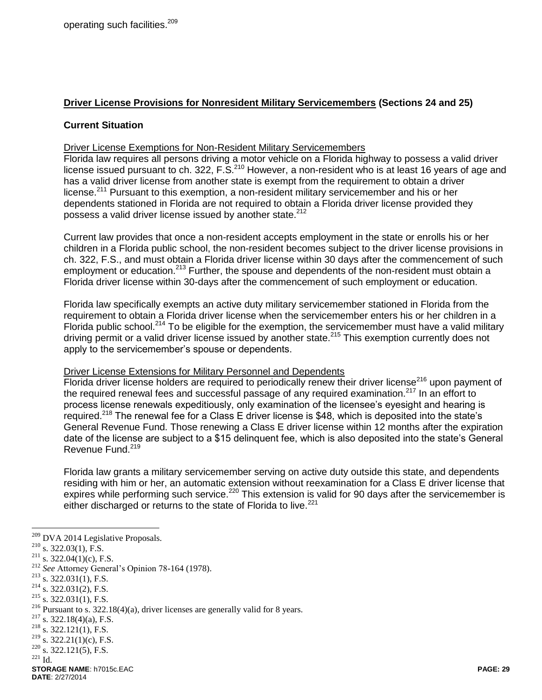### **Driver License Provisions for Nonresident Military Servicemembers (Sections 24 and 25)**

#### **Current Situation**

#### Driver License Exemptions for Non-Resident Military Servicemembers

Florida law requires all persons driving a motor vehicle on a Florida highway to possess a valid driver license issued pursuant to ch. 322, F.S.<sup>210</sup> However, a non-resident who is at least 16 years of age and has a valid driver license from another state is exempt from the requirement to obtain a driver license.<sup>211</sup> Pursuant to this exemption, a non-resident military servicemember and his or her dependents stationed in Florida are not required to obtain a Florida driver license provided they possess a valid driver license issued by another state.<sup>212</sup>

Current law provides that once a non-resident accepts employment in the state or enrolls his or her children in a Florida public school, the non-resident becomes subject to the driver license provisions in ch. 322, F.S., and must obtain a Florida driver license within 30 days after the commencement of such employment or education.<sup>213</sup> Further, the spouse and dependents of the non-resident must obtain a Florida driver license within 30-days after the commencement of such employment or education.

Florida law specifically exempts an active duty military servicemember stationed in Florida from the requirement to obtain a Florida driver license when the servicemember enters his or her children in a Florida public school.<sup>214</sup> To be eligible for the exemption, the servicemember must have a valid military driving permit or a valid driver license issued by another state.<sup>215</sup> This exemption currently does not apply to the servicemember's spouse or dependents.

#### Driver License Extensions for Military Personnel and Dependents

Florida driver license holders are required to periodically renew their driver license<sup>216</sup> upon payment of the required renewal fees and successful passage of any required examination.<sup>217</sup> In an effort to process license renewals expeditiously, only examination of the licensee's eyesight and hearing is required.<sup>218</sup> The renewal fee for a Class E driver license is \$48, which is deposited into the state's General Revenue Fund. Those renewing a Class E driver license within 12 months after the expiration date of the license are subject to a \$15 delinquent fee, which is also deposited into the state's General Revenue Fund.<sup>219</sup>

Florida law grants a military servicemember serving on active duty outside this state, and dependents residing with him or her, an automatic extension without reexamination for a Class E driver license that expires while performing such service.<sup>220</sup> This extension is valid for 90 days after the servicemember is either discharged or returns to the state of Florida to live.<sup>221</sup>

 $221$  Id.

 $209$  DVA 2014 Legislative Proposals.

 $210$  s. 322.03(1), F.S.

<sup>&</sup>lt;sup>211</sup> s. 322.04(1)(c), F.S.

<sup>212</sup> *See* Attorney General's Opinion 78-164 (1978).

 $213$  s. 322.031(1), F.S.

 $214$  s. 322.031(2), F.S.

 $215$  s. 322.031(1), F.S.

<sup>216</sup> Pursuant to s. 322.18(4)(a), driver licenses are generally valid for 8 years.

 $217$  s. 322.18(4)(a), F.S.

 $218$  s. 322.121(1), F.S.

 $^{219}$  s. 322.21(1)(c), F.S.

 $220$  s. 322.121(5), F.S.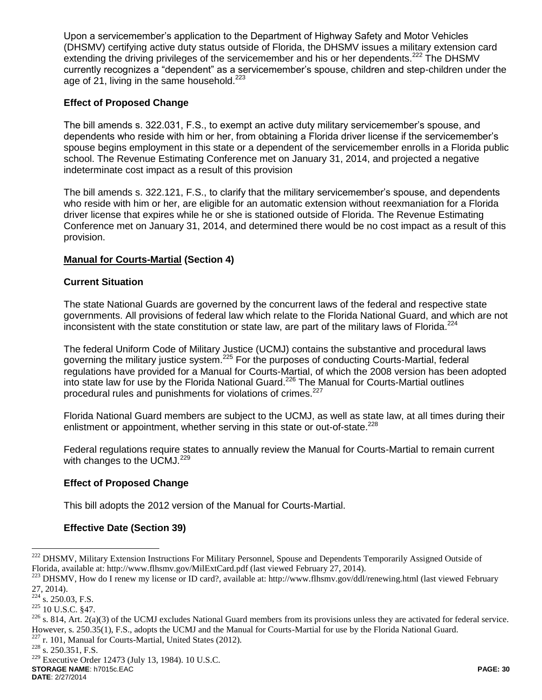Upon a servicemember's application to the Department of Highway Safety and Motor Vehicles (DHSMV) certifying active duty status outside of Florida, the DHSMV issues a military extension card extending the driving privileges of the servicemember and his or her dependents.<sup>222</sup> The DHSMV currently recognizes a "dependent" as a servicemember's spouse, children and step-children under the age of  $21$ , living in the same household.<sup>223</sup>

## **Effect of Proposed Change**

The bill amends s. 322.031, F.S., to exempt an active duty military servicemember's spouse, and dependents who reside with him or her, from obtaining a Florida driver license if the servicemember's spouse begins employment in this state or a dependent of the servicemember enrolls in a Florida public school. The Revenue Estimating Conference met on January 31, 2014, and projected a negative indeterminate cost impact as a result of this provision

The bill amends s. 322.121, F.S., to clarify that the military servicemember's spouse, and dependents who reside with him or her, are eligible for an automatic extension without reexmaniation for a Florida driver license that expires while he or she is stationed outside of Florida. The Revenue Estimating Conference met on January 31, 2014, and determined there would be no cost impact as a result of this provision.

### **Manual for Courts-Martial (Section 4)**

### **Current Situation**

The state National Guards are governed by the concurrent laws of the federal and respective state governments. All provisions of federal law which relate to the Florida National Guard, and which are not inconsistent with the state constitution or state law, are part of the military laws of Florida.<sup>224</sup>

The federal Uniform Code of Military Justice (UCMJ) contains the substantive and procedural laws governing the military justice system.<sup>225</sup> For the purposes of conducting Courts-Martial, federal regulations have provided for a Manual for Courts-Martial, of which the 2008 version has been adopted into state law for use by the Florida National Guard.<sup>226</sup> The Manual for Courts-Martial outlines procedural rules and punishments for violations of crimes.<sup>227</sup>

Florida National Guard members are subject to the UCMJ, as well as state law, at all times during their enlistment or appointment, whether serving in this state or out-of-state.<sup>228</sup>

Federal regulations require states to annually review the Manual for Courts-Martial to remain current with changes to the UCMJ. $229$ 

### **Effect of Proposed Change**

This bill adopts the 2012 version of the Manual for Courts-Martial.

### **Effective Date (Section 39)**

 $\overline{a}$ 

<sup>227</sup> r. 101, Manual for Courts-Martial, United States (2012).

**STORAGE NAME**: h7015c.EAC **PAGE: 30** <sup>229</sup> Executive Order 12473 (July 13, 1984). 10 U.S.C.

**DATE**: 2/27/2014

<sup>&</sup>lt;sup>222</sup> DHSMV, Military Extension Instructions For Military Personnel, Spouse and Dependents Temporarily Assigned Outside of Florida, available at: http://www.flhsmv.gov/MilExtCard.pdf (last viewed February 27, 2014).

<sup>&</sup>lt;sup>223</sup> DHSMV, How do I renew my license or ID card?, available at: http://www.flhsmv.gov/ddl/renewing.html (last viewed February 27, 2014).

 $224$  s. 250.03, F.S.

<sup>225</sup> 10 U.S.C. §47.

 $^{226}$  s. 814, Art. 2(a)(3) of the UCMJ excludes National Guard members from its provisions unless they are activated for federal service. However, s. 250.35(1), F.S., adopts the UCMJ and the Manual for Courts-Martial for use by the Florida National Guard.

<sup>228</sup> s. 250.351, F.S.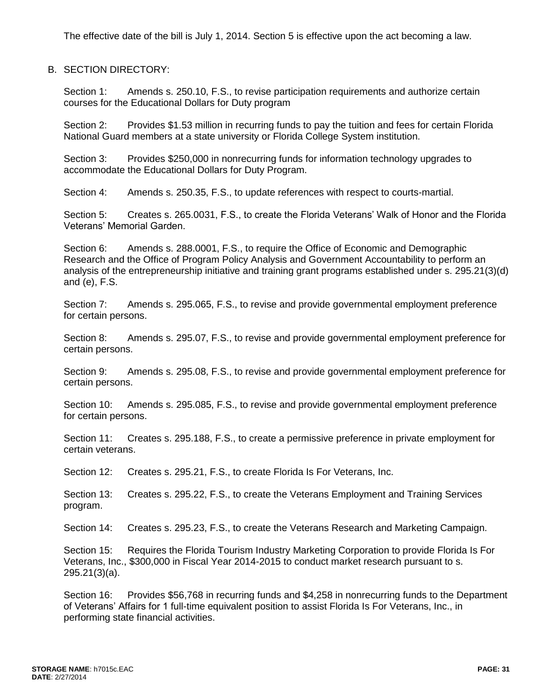The effective date of the bill is July 1, 2014. Section 5 is effective upon the act becoming a law.

B. SECTION DIRECTORY:

Section 1: Amends s. 250.10, F.S., to revise participation requirements and authorize certain courses for the Educational Dollars for Duty program

Section 2: Provides \$1.53 million in recurring funds to pay the tuition and fees for certain Florida National Guard members at a state university or Florida College System institution.

Section 3: Provides \$250,000 in nonrecurring funds for information technology upgrades to accommodate the Educational Dollars for Duty Program.

Section 4: Amends s. 250.35, F.S., to update references with respect to courts-martial.

Section 5: Creates s. 265.0031, F.S., to create the Florida Veterans' Walk of Honor and the Florida Veterans' Memorial Garden.

Section 6: Amends s. 288.0001, F.S., to require the Office of Economic and Demographic Research and the Office of Program Policy Analysis and Government Accountability to perform an analysis of the entrepreneurship initiative and training grant programs established under s. 295.21(3)(d) and (e), F.S.

Section 7: Amends s. 295.065, F.S., to revise and provide governmental employment preference for certain persons.

Section 8: Amends s. 295.07, F.S., to revise and provide governmental employment preference for certain persons.

Section 9: Amends s. 295.08, F.S., to revise and provide governmental employment preference for certain persons.

Section 10: Amends s. 295.085, F.S., to revise and provide governmental employment preference for certain persons.

Section 11: Creates s. 295.188, F.S., to create a permissive preference in private employment for certain veterans.

Section 12: Creates s. 295.21, F.S., to create Florida Is For Veterans, Inc.

Section 13: Creates s. 295.22, F.S., to create the Veterans Employment and Training Services program.

Section 14: Creates s. 295.23, F.S., to create the Veterans Research and Marketing Campaign.

Section 15: Requires the Florida Tourism Industry Marketing Corporation to provide Florida Is For Veterans, Inc., \$300,000 in Fiscal Year 2014-2015 to conduct market research pursuant to s. 295.21(3)(a).

Section 16: Provides \$56,768 in recurring funds and \$4,258 in nonrecurring funds to the Department of Veterans' Affairs for 1 full-time equivalent position to assist Florida Is For Veterans, Inc., in performing state financial activities.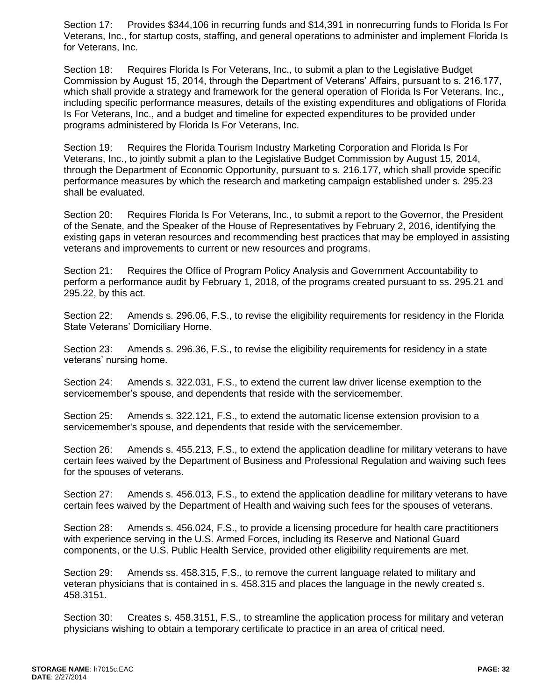Section 17: Provides \$344,106 in recurring funds and \$14,391 in nonrecurring funds to Florida Is For Veterans, Inc., for startup costs, staffing, and general operations to administer and implement Florida Is for Veterans, Inc.

Section 18: Requires Florida Is For Veterans, Inc., to submit a plan to the Legislative Budget Commission by August 15, 2014, through the Department of Veterans' Affairs, pursuant to s. 216.177, which shall provide a strategy and framework for the general operation of Florida Is For Veterans, Inc., including specific performance measures, details of the existing expenditures and obligations of Florida Is For Veterans, Inc., and a budget and timeline for expected expenditures to be provided under programs administered by Florida Is For Veterans, Inc.

Section 19: Requires the Florida Tourism Industry Marketing Corporation and Florida Is For Veterans, Inc., to jointly submit a plan to the Legislative Budget Commission by August 15, 2014, through the Department of Economic Opportunity, pursuant to s. 216.177, which shall provide specific performance measures by which the research and marketing campaign established under s. 295.23 shall be evaluated.

Section 20: Requires Florida Is For Veterans, Inc., to submit a report to the Governor, the President of the Senate, and the Speaker of the House of Representatives by February 2, 2016, identifying the existing gaps in veteran resources and recommending best practices that may be employed in assisting veterans and improvements to current or new resources and programs.

Section 21: Requires the Office of Program Policy Analysis and Government Accountability to perform a performance audit by February 1, 2018, of the programs created pursuant to ss. 295.21 and 295.22, by this act.

Section 22: Amends s. 296.06, F.S., to revise the eligibility requirements for residency in the Florida State Veterans' Domiciliary Home.

Section 23: Amends s. 296.36, F.S., to revise the eligibility requirements for residency in a state veterans' nursing home.

Section 24: Amends s. 322.031, F.S., to extend the current law driver license exemption to the servicemember's spouse, and dependents that reside with the servicemember.

Section 25: Amends s. 322.121, F.S., to extend the automatic license extension provision to a servicemember's spouse, and dependents that reside with the servicemember.

Section 26: Amends s. 455.213, F.S., to extend the application deadline for military veterans to have certain fees waived by the Department of Business and Professional Regulation and waiving such fees for the spouses of veterans.

Section 27: Amends s. 456.013, F.S., to extend the application deadline for military veterans to have certain fees waived by the Department of Health and waiving such fees for the spouses of veterans.

Section 28: Amends s. 456.024, F.S., to provide a licensing procedure for health care practitioners with experience serving in the U.S. Armed Forces, including its Reserve and National Guard components, or the U.S. Public Health Service, provided other eligibility requirements are met.

Section 29: Amends ss. 458.315, F.S., to remove the current language related to military and veteran physicians that is contained in s. 458.315 and places the language in the newly created s. 458.3151.

Section 30: Creates s. 458.3151, F.S., to streamline the application process for military and veteran physicians wishing to obtain a temporary certificate to practice in an area of critical need.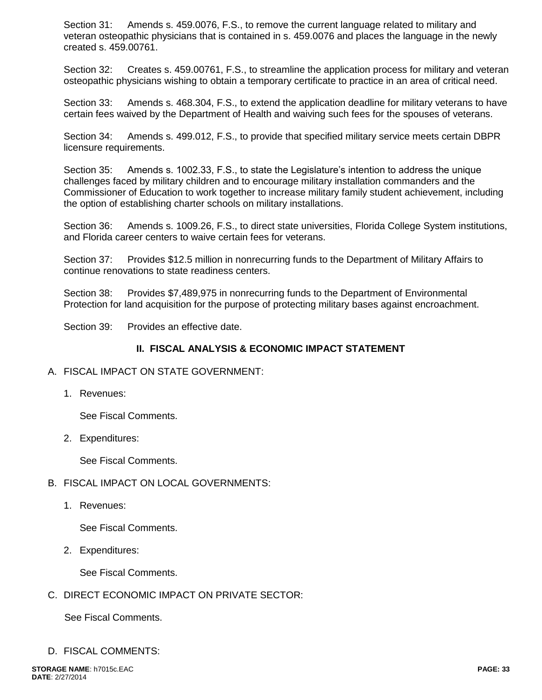Section 31: Amends s. 459.0076, F.S., to remove the current language related to military and veteran osteopathic physicians that is contained in s. 459.0076 and places the language in the newly created s. 459.00761.

Section 32: Creates s. 459.00761, F.S., to streamline the application process for military and veteran osteopathic physicians wishing to obtain a temporary certificate to practice in an area of critical need.

Section 33: Amends s. 468.304, F.S., to extend the application deadline for military veterans to have certain fees waived by the Department of Health and waiving such fees for the spouses of veterans.

Section 34: Amends s. 499.012, F.S., to provide that specified military service meets certain DBPR licensure requirements.

Section 35: Amends s. 1002.33, F.S., to state the Legislature's intention to address the unique challenges faced by military children and to encourage military installation commanders and the Commissioner of Education to work together to increase military family student achievement, including the option of establishing charter schools on military installations.

Section 36: Amends s. 1009.26, F.S., to direct state universities, Florida College System institutions, and Florida career centers to waive certain fees for veterans.

Section 37: Provides \$12.5 million in nonrecurring funds to the Department of Military Affairs to continue renovations to state readiness centers.

Section 38: Provides \$7,489,975 in nonrecurring funds to the Department of Environmental Protection for land acquisition for the purpose of protecting military bases against encroachment.

Section 39: Provides an effective date.

#### **II. FISCAL ANALYSIS & ECONOMIC IMPACT STATEMENT**

#### A. FISCAL IMPACT ON STATE GOVERNMENT:

1. Revenues:

See Fiscal Comments.

2. Expenditures:

See Fiscal Comments.

- B. FISCAL IMPACT ON LOCAL GOVERNMENTS:
	- 1. Revenues:

See Fiscal Comments.

2. Expenditures:

See Fiscal Comments.

C. DIRECT ECONOMIC IMPACT ON PRIVATE SECTOR:

See Fiscal Comments.

D. FISCAL COMMENTS: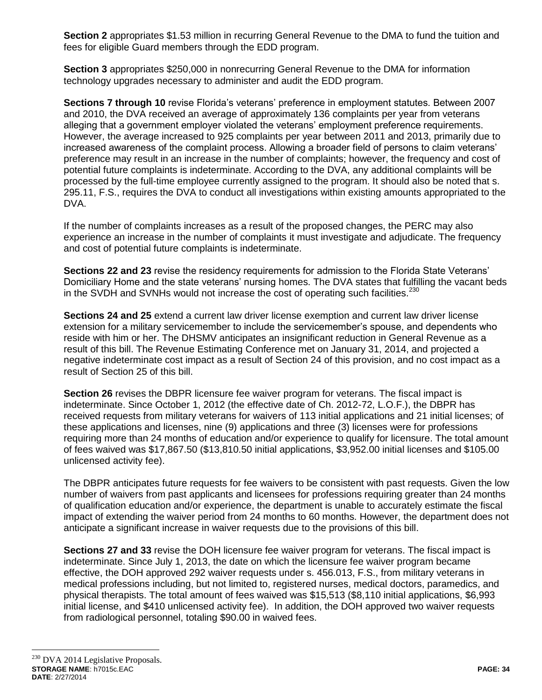**Section 2** appropriates \$1.53 million in recurring General Revenue to the DMA to fund the tuition and fees for eligible Guard members through the EDD program.

**Section 3** appropriates \$250,000 in nonrecurring General Revenue to the DMA for information technology upgrades necessary to administer and audit the EDD program.

**Sections 7 through 10** revise Florida's veterans' preference in employment statutes. Between 2007 and 2010, the DVA received an average of approximately 136 complaints per year from veterans alleging that a government employer violated the veterans' employment preference requirements. However, the average increased to 925 complaints per year between 2011 and 2013, primarily due to increased awareness of the complaint process. Allowing a broader field of persons to claim veterans' preference may result in an increase in the number of complaints; however, the frequency and cost of potential future complaints is indeterminate. According to the DVA, any additional complaints will be processed by the full-time employee currently assigned to the program. It should also be noted that s. 295.11, F.S., requires the DVA to conduct all investigations within existing amounts appropriated to the DVA.

If the number of complaints increases as a result of the proposed changes, the PERC may also experience an increase in the number of complaints it must investigate and adjudicate. The frequency and cost of potential future complaints is indeterminate.

**Sections 22 and 23** revise the residency requirements for admission to the Florida State Veterans' Domiciliary Home and the state veterans' nursing homes. The DVA states that fulfilling the vacant beds in the SVDH and SVNHs would not increase the cost of operating such facilities.<sup>230</sup>

**Sections 24 and 25** extend a current law driver license exemption and current law driver license extension for a military servicemember to include the servicemember's spouse, and dependents who reside with him or her. The DHSMV anticipates an insignificant reduction in General Revenue as a result of this bill. The Revenue Estimating Conference met on January 31, 2014, and projected a negative indeterminate cost impact as a result of Section 24 of this provision, and no cost impact as a result of Section 25 of this bill.

**Section 26** revises the DBPR licensure fee waiver program for veterans. The fiscal impact is indeterminate. Since October 1, 2012 (the effective date of Ch. 2012-72, L.O.F.), the DBPR has received requests from military veterans for waivers of 113 initial applications and 21 initial licenses; of these applications and licenses, nine (9) applications and three (3) licenses were for professions requiring more than 24 months of education and/or experience to qualify for licensure. The total amount of fees waived was \$17,867.50 (\$13,810.50 initial applications, \$3,952.00 initial licenses and \$105.00 unlicensed activity fee).

The DBPR anticipates future requests for fee waivers to be consistent with past requests. Given the low number of waivers from past applicants and licensees for professions requiring greater than 24 months of qualification education and/or experience, the department is unable to accurately estimate the fiscal impact of extending the waiver period from 24 months to 60 months. However, the department does not anticipate a significant increase in waiver requests due to the provisions of this bill.

**Sections 27 and 33** revise the DOH licensure fee waiver program for veterans. The fiscal impact is indeterminate. Since July 1, 2013, the date on which the licensure fee waiver program became effective, the DOH approved 292 waiver requests under s. 456.013, F.S., from military veterans in medical professions including, but not limited to, registered nurses, medical doctors, paramedics, and physical therapists. The total amount of fees waived was \$15,513 (\$8,110 initial applications, \$6,993 initial license, and \$410 unlicensed activity fee). In addition, the DOH approved two waiver requests from radiological personnel, totaling \$90.00 in waived fees.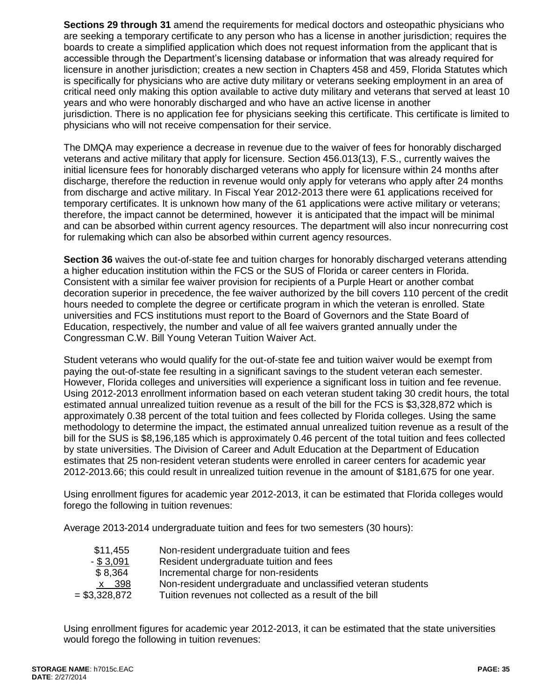**Sections 29 through 31** amend the requirements for medical doctors and osteopathic physicians who are seeking a temporary certificate to any person who has a license in another jurisdiction; requires the boards to create a simplified application which does not request information from the applicant that is accessible through the Department's licensing database or information that was already required for licensure in another jurisdiction; creates a new section in Chapters 458 and 459, Florida Statutes which is specifically for physicians who are active duty military or veterans seeking employment in an area of critical need only making this option available to active duty military and veterans that served at least 10 years and who were honorably discharged and who have an active license in another jurisdiction. There is no application fee for physicians seeking this certificate. This certificate is limited to physicians who will not receive compensation for their service.

The DMQA may experience a decrease in revenue due to the waiver of fees for honorably discharged veterans and active military that apply for licensure. Section 456.013(13), F.S., currently waives the initial licensure fees for honorably discharged veterans who apply for licensure within 24 months after discharge, therefore the reduction in revenue would only apply for veterans who apply after 24 months from discharge and active military. In Fiscal Year 2012-2013 there were 61 applications received for temporary certificates. It is unknown how many of the 61 applications were active military or veterans; therefore, the impact cannot be determined, however it is anticipated that the impact will be minimal and can be absorbed within current agency resources. The department will also incur nonrecurring cost for rulemaking which can also be absorbed within current agency resources.

**Section 36** waives the out-of-state fee and tuition charges for honorably discharged veterans attending a higher education institution within the FCS or the SUS of Florida or career centers in Florida. Consistent with a similar fee waiver provision for recipients of a Purple Heart or another combat decoration superior in precedence, the fee waiver authorized by the bill covers 110 percent of the credit hours needed to complete the degree or certificate program in which the veteran is enrolled. State universities and FCS institutions must report to the Board of Governors and the State Board of Education, respectively, the number and value of all fee waivers granted annually under the Congressman C.W. Bill Young Veteran Tuition Waiver Act.

Student veterans who would qualify for the out-of-state fee and tuition waiver would be exempt from paying the out-of-state fee resulting in a significant savings to the student veteran each semester. However, Florida colleges and universities will experience a significant loss in tuition and fee revenue. Using 2012-2013 enrollment information based on each veteran student taking 30 credit hours, the total estimated annual unrealized tuition revenue as a result of the bill for the FCS is \$3,328,872 which is approximately 0.38 percent of the total tuition and fees collected by Florida colleges. Using the same methodology to determine the impact, the estimated annual unrealized tuition revenue as a result of the bill for the SUS is \$8,196,185 which is approximately 0.46 percent of the total tuition and fees collected by state universities. The Division of Career and Adult Education at the Department of Education estimates that 25 non-resident veteran students were enrolled in career centers for academic year 2012-2013.66; this could result in unrealized tuition revenue in the amount of \$181,675 for one year.

Using enrollment figures for academic year 2012-2013, it can be estimated that Florida colleges would forego the following in tuition revenues:

Average 2013-2014 undergraduate tuition and fees for two semesters (30 hours):

| \$11,455        | Non-resident undergraduate tuition and fees                  |
|-----------------|--------------------------------------------------------------|
| $-$ \$ 3,091    | Resident undergraduate tuition and fees                      |
| \$8,364         | Incremental charge for non-residents                         |
| x 398           | Non-resident undergraduate and unclassified veteran students |
| $=$ \$3,328,872 | Tuition revenues not collected as a result of the bill       |

Using enrollment figures for academic year 2012-2013, it can be estimated that the state universities would forego the following in tuition revenues: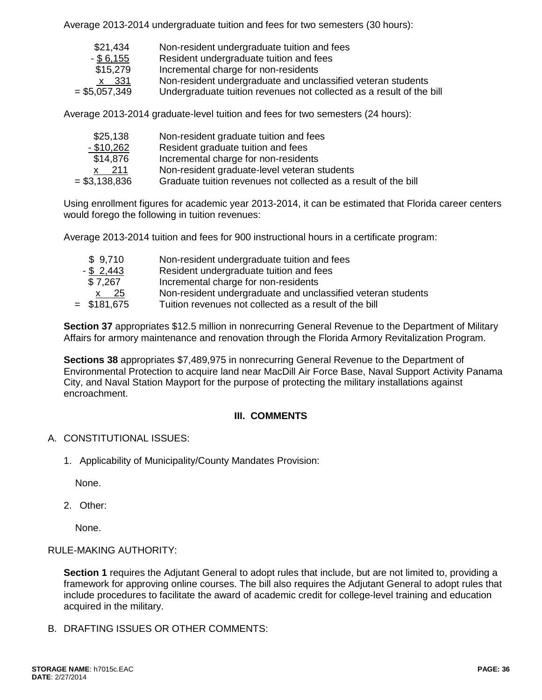Average 2013-2014 undergraduate tuition and fees for two semesters (30 hours):

| \$21,434       | Non-resident undergraduate tuition and fees                          |
|----------------|----------------------------------------------------------------------|
| $-$ \$ 6,155   | Resident undergraduate tuition and fees                              |
| \$15,279       | Incremental charge for non-residents                                 |
| x 331          | Non-resident undergraduate and unclassified veteran students         |
| $= $5,057,349$ | Undergraduate tuition revenues not collected as a result of the bill |
|                |                                                                      |

Average 2013-2014 graduate-level tuition and fees for two semesters (24 hours):

| \$25,138       | Non-resident graduate tuition and fees                          |
|----------------|-----------------------------------------------------------------|
| $-$ \$10,262   | Resident graduate tuition and fees                              |
| \$14,876       | Incremental charge for non-residents                            |
| 211            | Non-resident graduate-level veteran students                    |
| $= $3,138,836$ | Graduate tuition revenues not collected as a result of the bill |
|                |                                                                 |

Using enrollment figures for academic year 2013-2014, it can be estimated that Florida career centers would forego the following in tuition revenues:

Average 2013-2014 tuition and fees for 900 instructional hours in a certificate program:

| \$9,710       | Non-resident undergraduate tuition and fees                  |
|---------------|--------------------------------------------------------------|
| $-$ \$ 2,443  | Resident undergraduate tuition and fees                      |
| \$7,267       | Incremental charge for non-residents                         |
| x 25          | Non-resident undergraduate and unclassified veteran students |
| $=$ \$181,675 | Tuition revenues not collected as a result of the bill       |

**Section 37** appropriates \$12.5 million in nonrecurring General Revenue to the Department of Military Affairs for armory maintenance and renovation through the Florida Armory Revitalization Program.

**Sections 38** appropriates \$7,489,975 in nonrecurring General Revenue to the Department of Environmental Protection to acquire land near MacDill Air Force Base, Naval Support Activity Panama City, and Naval Station Mayport for the purpose of protecting the military installations against encroachment.

### **III. COMMENTS**

### A. CONSTITUTIONAL ISSUES:

1. Applicability of Municipality/County Mandates Provision:

None.

2. Other:

None.

### RULE-MAKING AUTHORITY:

**Section 1** requires the Adjutant General to adopt rules that include, but are not limited to, providing a framework for approving online courses. The bill also requires the Adjutant General to adopt rules that include procedures to facilitate the award of academic credit for college-level training and education acquired in the military.

B. DRAFTING ISSUES OR OTHER COMMENTS: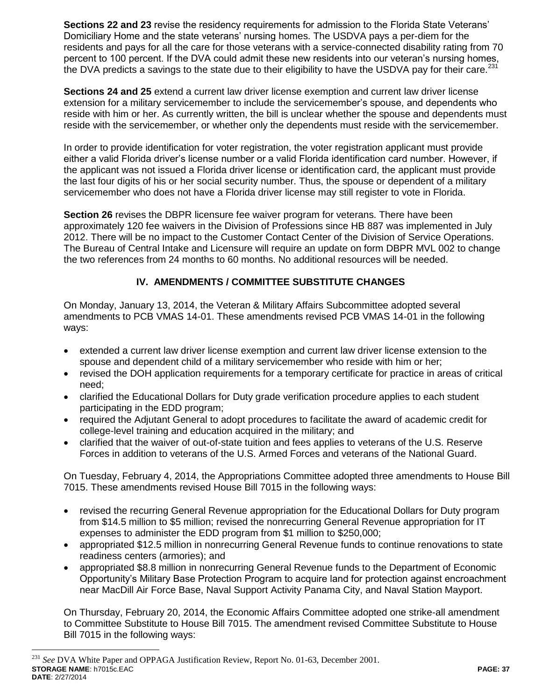**Sections 22 and 23** revise the residency requirements for admission to the Florida State Veterans' Domiciliary Home and the state veterans' nursing homes. The USDVA pays a per-diem for the residents and pays for all the care for those veterans with a service-connected disability rating from 70 percent to 100 percent. If the DVA could admit these new residents into our veteran's nursing homes, the DVA predicts a savings to the state due to their eligibility to have the USDVA pay for their care.<sup>231</sup>

**Sections 24 and 25** extend a current law driver license exemption and current law driver license extension for a military servicemember to include the servicemember's spouse, and dependents who reside with him or her. As currently written, the bill is unclear whether the spouse and dependents must reside with the servicemember, or whether only the dependents must reside with the servicemember.

In order to provide identification for voter registration, the voter registration applicant must provide either a valid Florida driver's license number or a valid Florida identification card number. However, if the applicant was not issued a Florida driver license or identification card, the applicant must provide the last four digits of his or her social security number. Thus, the spouse or dependent of a military servicemember who does not have a Florida driver license may still register to vote in Florida.

**Section 26** revises the DBPR licensure fee waiver program for veterans. There have been approximately 120 fee waivers in the Division of Professions since HB 887 was implemented in July 2012. There will be no impact to the Customer Contact Center of the Division of Service Operations. The Bureau of Central Intake and Licensure will require an update on form DBPR MVL 002 to change the two references from 24 months to 60 months. No additional resources will be needed.

## **IV. AMENDMENTS / COMMITTEE SUBSTITUTE CHANGES**

On Monday, January 13, 2014, the Veteran & Military Affairs Subcommittee adopted several amendments to PCB VMAS 14-01. These amendments revised PCB VMAS 14-01 in the following ways:

- extended a current law driver license exemption and current law driver license extension to the spouse and dependent child of a military servicemember who reside with him or her;
- revised the DOH application requirements for a temporary certificate for practice in areas of critical need;
- clarified the Educational Dollars for Duty grade verification procedure applies to each student participating in the EDD program;
- required the Adjutant General to adopt procedures to facilitate the award of academic credit for college-level training and education acquired in the military; and
- clarified that the waiver of out-of-state tuition and fees applies to veterans of the U.S. Reserve Forces in addition to veterans of the U.S. Armed Forces and veterans of the National Guard.

On Tuesday, February 4, 2014, the Appropriations Committee adopted three amendments to House Bill 7015. These amendments revised House Bill 7015 in the following ways:

- revised the recurring General Revenue appropriation for the Educational Dollars for Duty program from \$14.5 million to \$5 million; revised the nonrecurring General Revenue appropriation for IT expenses to administer the EDD program from \$1 million to \$250,000;
- appropriated \$12.5 million in nonrecurring General Revenue funds to continue renovations to state readiness centers (armories); and
- appropriated \$8.8 million in nonrecurring General Revenue funds to the Department of Economic Opportunity's Military Base Protection Program to acquire land for protection against encroachment near MacDill Air Force Base, Naval Support Activity Panama City, and Naval Station Mayport.

On Thursday, February 20, 2014, the Economic Affairs Committee adopted one strike-all amendment to Committee Substitute to House Bill 7015. The amendment revised Committee Substitute to House Bill 7015 in the following ways:

**STORAGE NAME**: h7015c.EAC **PAGE: 37 DATE**: 2/27/2014 <sup>231</sup> *See* DVA White Paper and OPPAGA Justification Review, Report No. 01-63, December 2001.